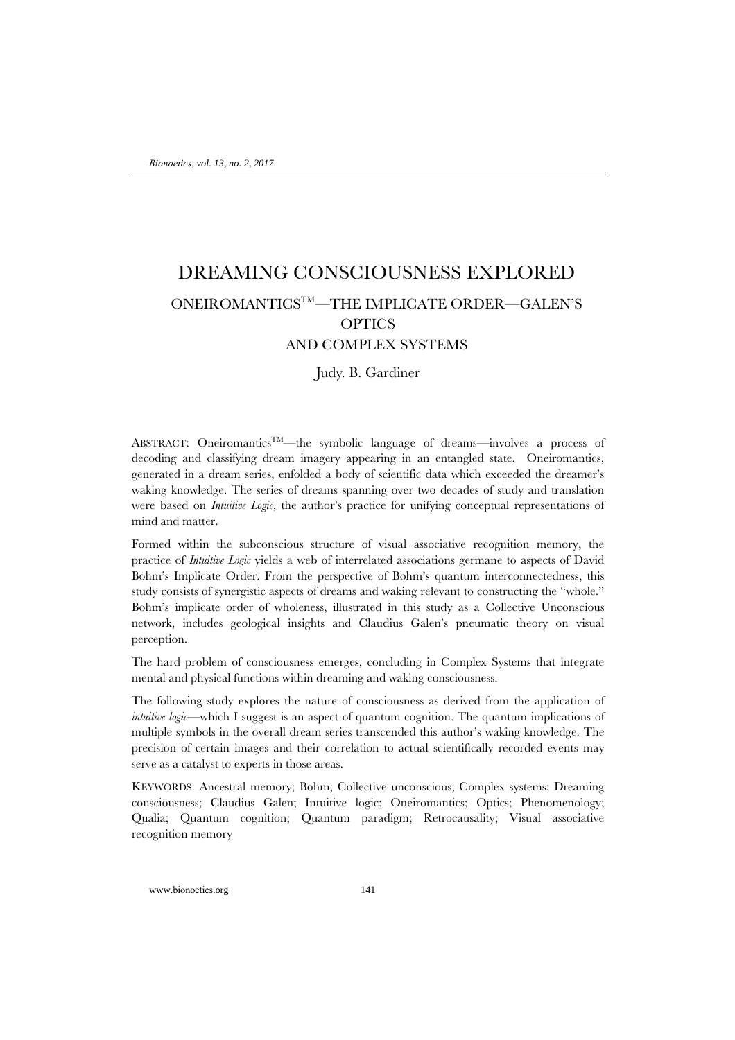# DREAMING CONSCIOUSNESS EXPLORED ONEIROMANTICSTM—THE IMPLICATE ORDER—GALEN'S **OPTICS** AND COMPLEX SYSTEMS

Judy. B. Gardiner

ABSTRACT: Oneiromantics<sup>TM</sup>—the symbolic language of dreams—involves a process of decoding and classifying dream imagery appearing in an entangled state. Oneiromantics, generated in a dream series, enfolded a body of scientific data which exceeded the dreamer's waking knowledge. The series of dreams spanning over two decades of study and translation were based on *Intuitive Logic*, the author's practice for unifying conceptual representations of mind and matter.

Formed within the subconscious structure of visual associative recognition memory, the practice of *Intuitive Logic* yields a web of interrelated associations germane to aspects of David Bohm's Implicate Order. From the perspective of Bohm's quantum interconnectedness, this study consists of synergistic aspects of dreams and waking relevant to constructing the "whole." Bohm's implicate order of wholeness, illustrated in this study as a Collective Unconscious network, includes geological insights and Claudius Galen's pneumatic theory on visual perception.

The hard problem of consciousness emerges, concluding in Complex Systems that integrate mental and physical functions within dreaming and waking consciousness.

The following study explores the nature of consciousness as derived from the application of *intuitive logic*—which I suggest is an aspect of quantum cognition. The quantum implications of multiple symbols in the overall dream series transcended this author's waking knowledge. The precision of certain images and their correlation to actual scientifically recorded events may serve as a catalyst to experts in those areas.

KEYWORDS: Ancestral memory; Bohm; Collective unconscious; Complex systems; Dreaming consciousness; Claudius Galen; Intuitive logic; Oneiromantics; Optics; Phenomenology; Qualia; Quantum cognition; Quantum paradigm; Retrocausality; Visual associative recognition memory

www.bionoetics.org 141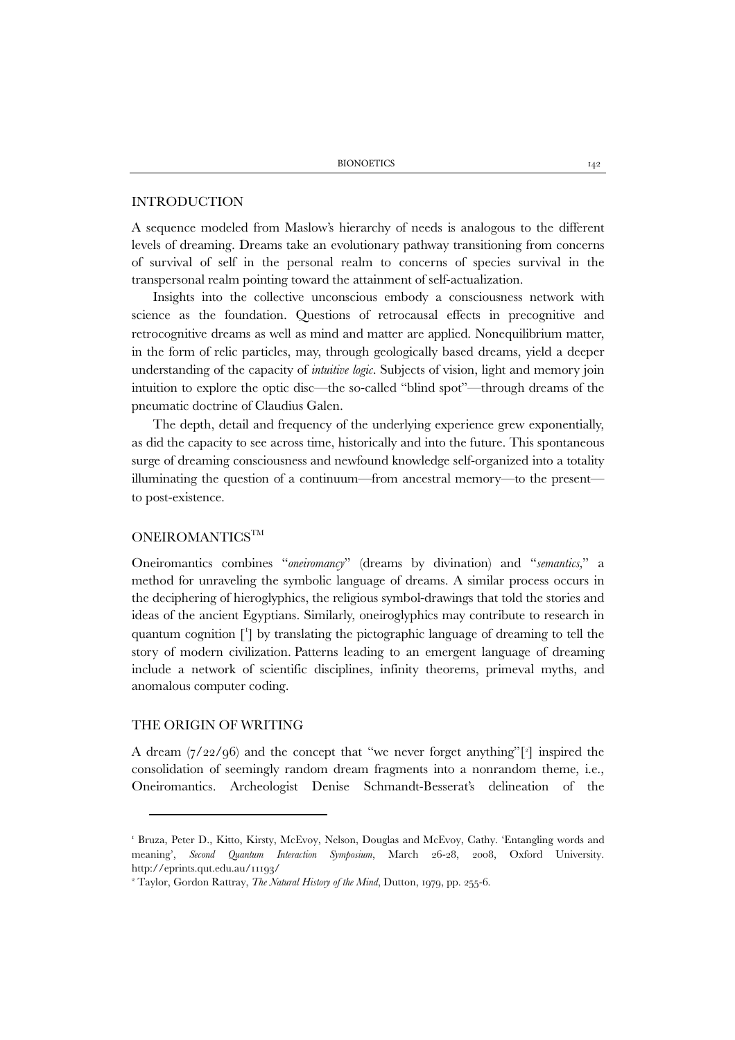#### INTRODUCTION

A sequence modeled from Maslow's hierarchy of needs is analogous to the different levels of dreaming. Dreams take an evolutionary pathway transitioning from concerns of survival of self in the personal realm to concerns of species survival in the transpersonal realm pointing toward the attainment of self-actualization.

Insights into the collective unconscious embody a consciousness network with science as the foundation. Questions of retrocausal effects in precognitive and retrocognitive dreams as well as mind and matter are applied. Nonequilibrium matter, in the form of relic particles, may, through geologically based dreams, yield a deeper understanding of the capacity of *intuitive logic*. Subjects of vision, light and memory join intuition to explore the optic disc—the so-called "blind spot"—through dreams of the pneumatic doctrine of Claudius Galen.

The depth, detail and frequency of the underlying experience grew exponentially, as did the capacity to see across time, historically and into the future. This spontaneous surge of dreaming consciousness and newfound knowledge self-organized into a totality illuminating the question of a continuum—from ancestral memory—to the present to post-existence.

# ONEIROMANTICS<sup>TM</sup>

Oneiromantics combines "*oneiromancy*" (dreams by divination) and "*semantics,*" a method for unraveling the symbolic language of dreams. A similar process occurs in the deciphering of hieroglyphics, the religious symbol-drawings that told the stories and ideas of the ancient Egyptians. Similarly, oneiroglyphics may contribute to research in quantum cognition [[1](#page-1-0) ] by translating the pictographic language of dreaming to tell the story of modern civilization. Patterns leading to an emergent language of dreaming include a network of scientific disciplines, infinity theorems, primeval myths, and anomalous computer coding.

# THE ORIGIN OF WRITING

A dream (7/22/96) and the concept that "we never forget anything"[[2](#page-1-1) ] inspired the consolidation of seemingly random dream fragments into a nonrandom theme, i.e., Oneiromantics. Archeologist Denise Schmandt-Besserat's delineation of the

<span id="page-1-0"></span><sup>1</sup> Bruza, Peter D., Kitto, Kirsty, McEvoy, Nelson, Douglas and McEvoy, Cathy. 'Entangling words and meaning', *Second Quantum Interaction Symposium*, March 26-28, 2008, Oxford University. <http://eprints.qut.edu.au/11193/>

<span id="page-1-1"></span><sup>2</sup> Taylor, Gordon Rattray, *The Natural History of the Mind*, Dutton, 1979, pp. 255-6.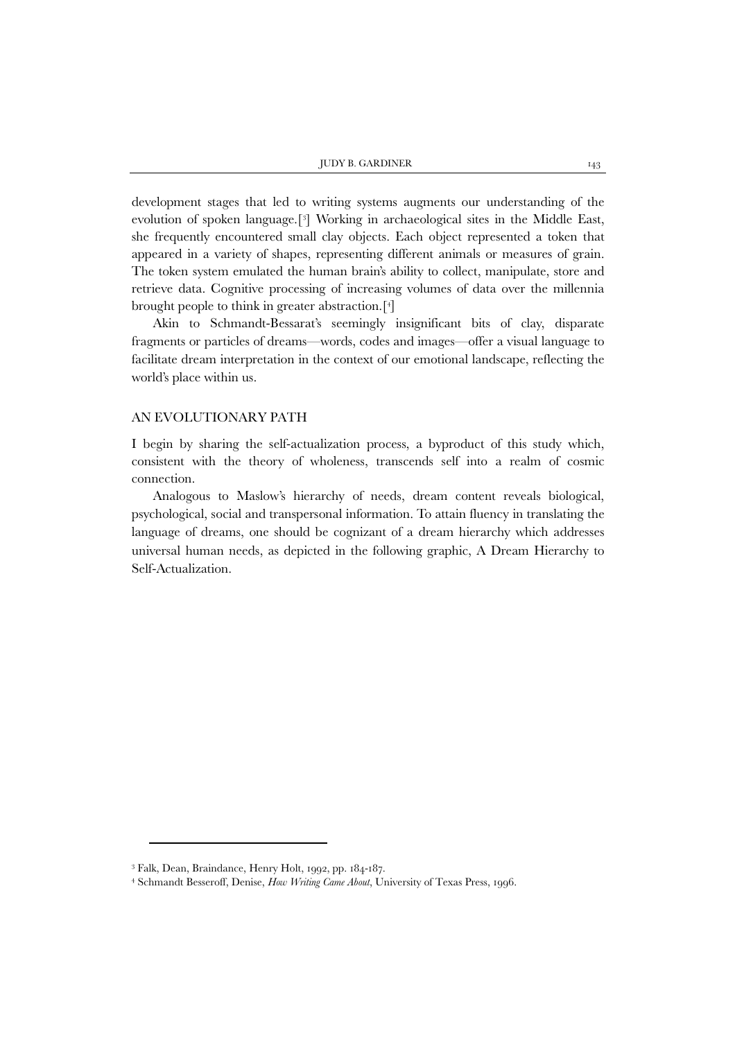development stages that led to writing systems augments our understanding of the evolution of spoken language.[[3](#page-2-0)] Working in archaeological sites in the Middle East, she frequently encountered small clay objects. Each object represented a token that appeared in a variety of shapes, representing different animals or measures of grain. The token system emulated the human brain's ability to collect, manipulate, store and retrieve data. Cognitive processing of increasing volumes of data over the millennia brought people to think in greater abstraction.[[4](#page-2-1) ]

Akin to Schmandt-Bessarat's seemingly insignificant bits of clay, disparate fragments or particles of dreams—words, codes and images—offer a visual language to facilitate dream interpretation in the context of our emotional landscape, reflecting the world's place within us.

#### AN EVOLUTIONARY PATH

I begin by sharing the self-actualization process, a byproduct of this study which, consistent with the theory of wholeness, transcends self into a realm of cosmic connection.

Analogous to Maslow's hierarchy of needs, dream content reveals biological, psychological, social and transpersonal information. To attain fluency in translating the language of dreams, one should be cognizant of a dream hierarchy which addresses universal human needs, as depicted in the following graphic, A Dream Hierarchy to Self-Actualization.

 $\overline{a}$ 

<span id="page-2-1"></span><span id="page-2-0"></span><sup>3</sup> Falk, Dean, Braindance, Henry Holt, 1992, pp. 184-187.

<sup>4</sup> Schmandt Besseroff, Denise, *How Writing Came About*, University of Texas Press, 1996.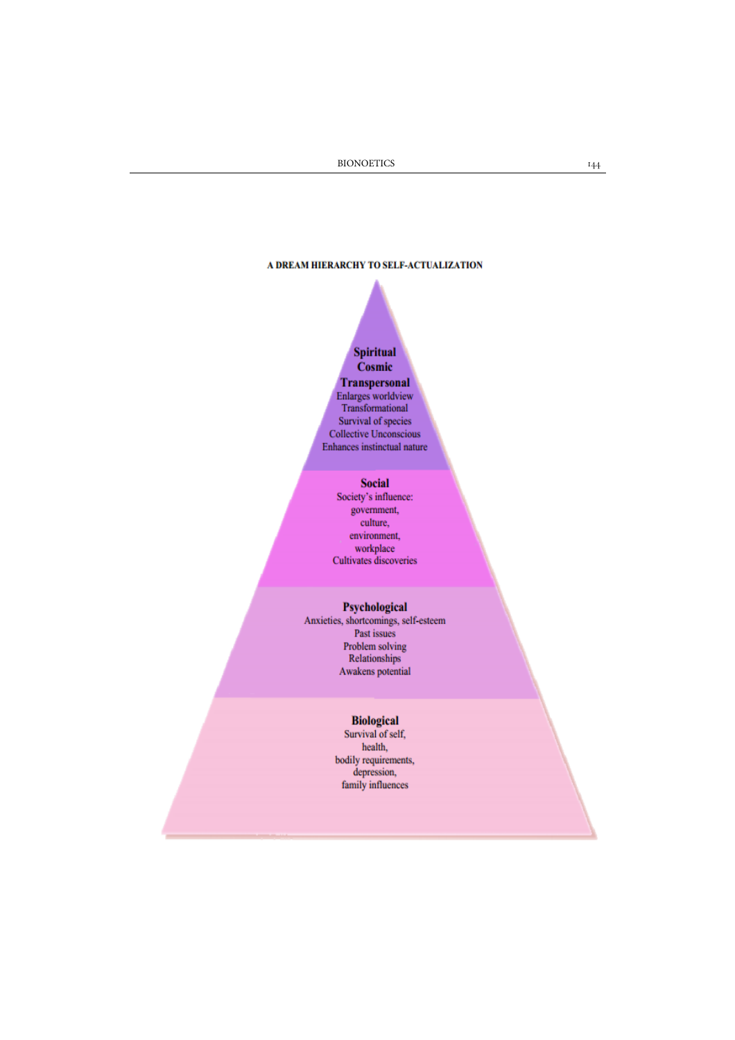# A DREAM HIERARCHY TO SELF-ACTUALIZATION

# **Spiritual** Cosmic **Transpersonal**  $\begin{minipage}{.4\linewidth} \label{eq:1} \begin{minipage}{.4\linewidth} \textbf{Enlarges worldview} \\ \textbf{Transformational} \end{minipage} \end{minipage}$ Survival of species **Collective Unconscious** Enhances instinctual nature

# **Social**

Society's influence: government, culture, environment, workplace Cultivates discoveries

# Psychological

Anxieties, shortcomings, self-esteem Past issues Problem solving **Relationships** Awakens potential

# **Biological**

Survival of self, health,  $\begin{minipage}{.4\linewidth} \textbf{body requirements}, \textbf{depression}, \end{minipage}$ family influences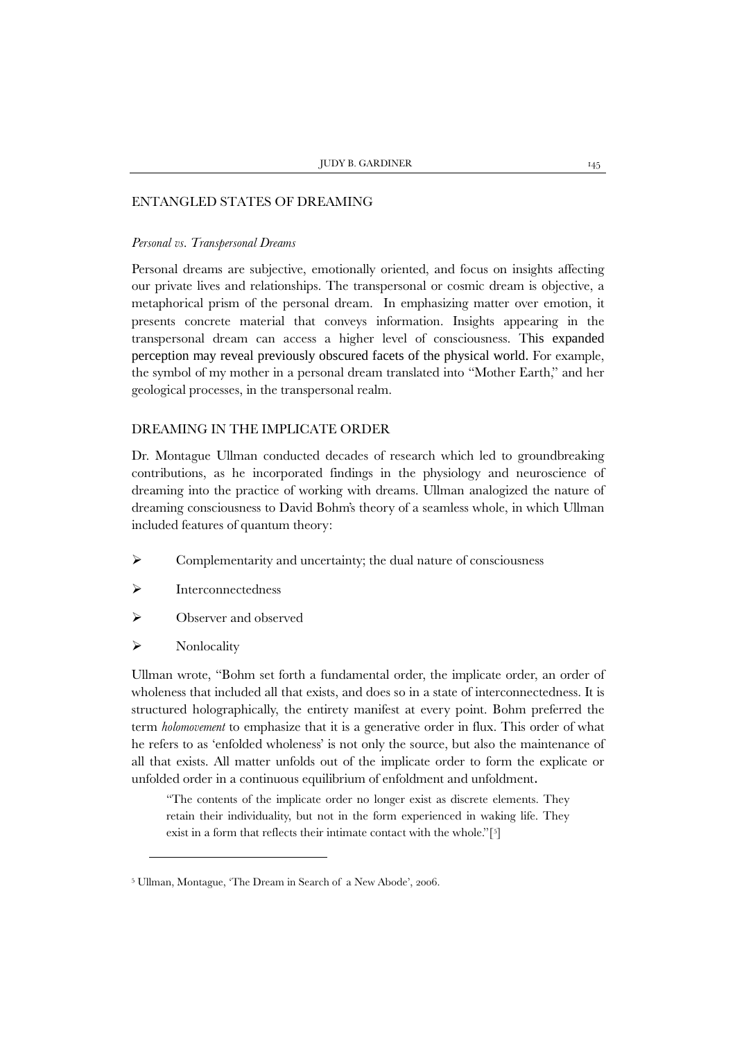#### ENTANGLED STATES OF DREAMING

#### *Personal vs. Transpersonal Dreams*

Personal dreams are subjective, emotionally oriented, and focus on insights affecting our private lives and relationships. The transpersonal or cosmic dream is objective, a metaphorical prism of the personal dream. In emphasizing matter over emotion, it presents concrete material that conveys information. Insights appearing in the transpersonal dream can access a higher level of consciousness. This expanded perception may reveal previously obscured facets of the physical world. For example, the symbol of my mother in a personal dream translated into "Mother Earth," and her geological processes, in the transpersonal realm.

# DREAMING IN THE IMPLICATE ORDER

Dr. Montague Ullman conducted decades of research which led to groundbreaking contributions, as he incorporated findings in the physiology and neuroscience of dreaming into the practice of working with dreams. Ullman analogized the nature of dreaming consciousness to David Bohm's theory of a seamless whole, in which Ullman included features of quantum theory:

- $\triangleright$  Complementarity and uncertainty; the dual nature of consciousness
- Interconnectedness
- $\triangleright$  Observer and observed
- $\triangleright$  Nonlocality

1

Ullman wrote, "Bohm set forth a fundamental order, the implicate order, an order of wholeness that included all that exists, and does so in a state of interconnectedness. It is structured holographically, the entirety manifest at every point. Bohm preferred the term *holomovement* to emphasize that it is a generative order in flux. This order of what he refers to as 'enfolded wholeness' is not only the source, but also the maintenance of all that exists. All matter unfolds out of the implicate order to form the explicate or unfolded order in a continuous equilibrium of enfoldment and unfoldment.

"The contents of the implicate order no longer exist as discrete elements. They retain their individuality, but not in the form experienced in waking life. They exist in a form that reflects their intimate contact with the whole."[[5](#page-4-0) ]

<span id="page-4-0"></span><sup>5</sup> Ullman, Montague, 'The Dream in Search of a New Abode', 2006.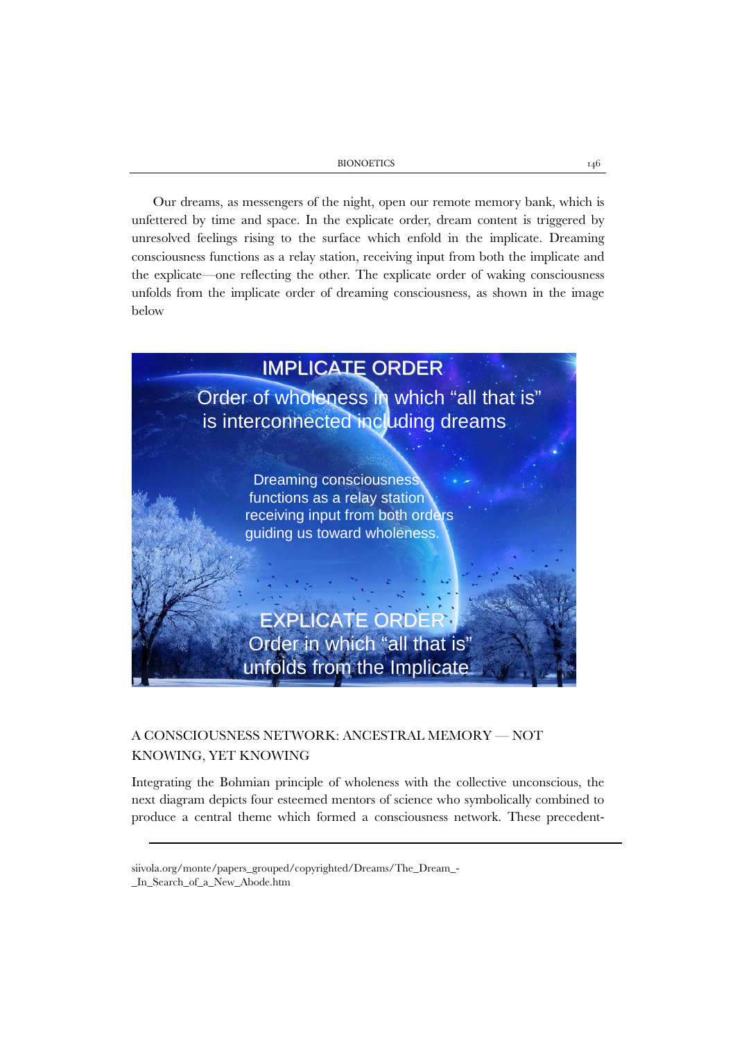BIONOETICS 146

Our dreams, as messengers of the night, open our remote memory bank, which is unfettered by time and space. In the explicate order, dream content is triggered by unresolved feelings rising to the surface which enfold in the implicate. Dreaming consciousness functions as a relay station, receiving input from both the implicate and the explicate—one reflecting the other. The explicate order of waking consciousness unfolds from the implicate order of dreaming consciousness, as shown in the image below



# A CONSCIOUSNESS NETWORK: ANCESTRAL MEMORY — NOT KNOWING, YET KNOWING

Integrating the Bohmian principle of wholeness with the collective unconscious, the next diagram depicts four esteemed mentors of science who symbolically combined to produce a central theme which formed a consciousness network. These precedent-

 $\overline{a}$ 

[siivola.org/monte/papers\\_grouped/copyrighted/Dreams/The\\_Dream\\_-](http://siivola.org/monte/papers_grouped/copyrighted/Dreams/The_Dream_-_In_Search_of_a_New_Abode.htm)

[\\_In\\_Search\\_of\\_a\\_New\\_Abode.htm](http://siivola.org/monte/papers_grouped/copyrighted/Dreams/The_Dream_-_In_Search_of_a_New_Abode.htm)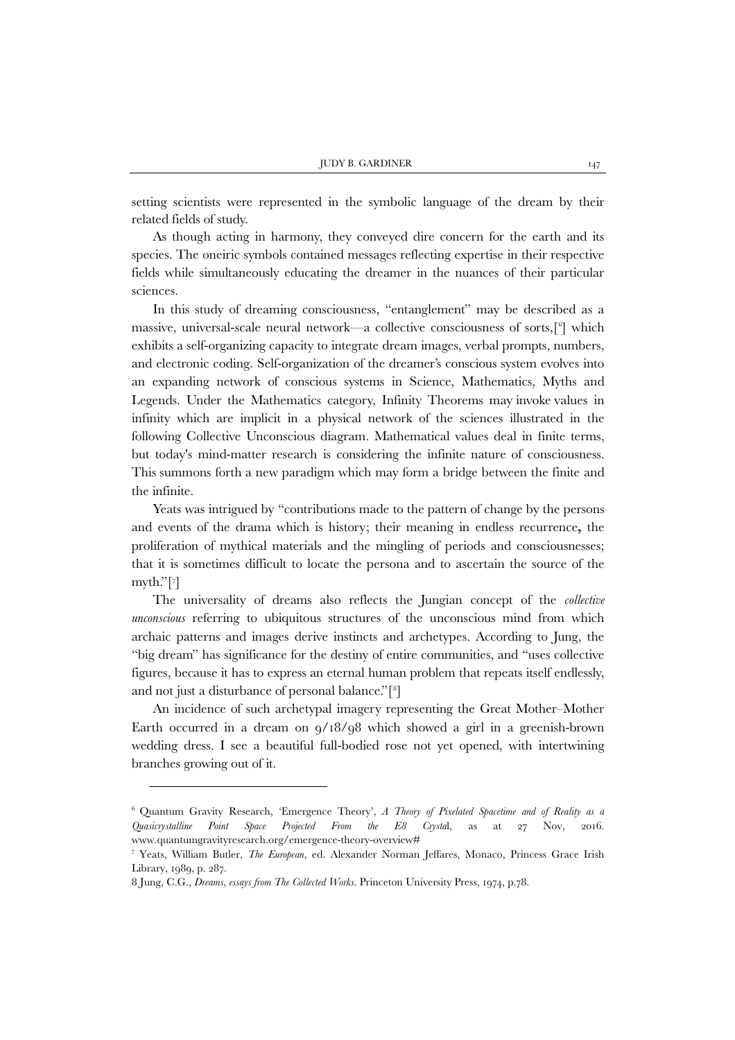setting scientists were represented in the symbolic language of the dream by their related fields of study.

As though acting in harmony, they conveyed dire concern for the earth and its species. The oneiric symbols contained messages reflecting expertise in their respective fields while simultaneously educating the dreamer in the nuances of their particular sciences.

In this study of dreaming consciousness, "entanglement" may be described as a massive, universal-scale neural network—a collective consciousness of sorts,[[6](#page-6-0) ] which exhibits a self-organizing capacity to integrate dream images, verbal prompts, numbers, and electronic coding. Self-organization of the dreamer's conscious system evolves into an expanding network of conscious systems in Science, Mathematics, Myths and Legends. Under the Mathematics category, Infinity Theorems may invoke values in infinity which are implicit in a physical network of the sciences illustrated in the following Collective Unconscious diagram. Mathematical values deal in finite terms, but today's mind-matter research is considering the infinite nature of consciousness. This summons forth a new paradigm which may form a bridge between the finite and the infinite.

Yeats was intrigued by "contributions made to the pattern of change by the persons and events of the drama which is history; their meaning in endless recurrence**,** the proliferation of mythical materials and the mingling of periods and consciousnesses; that it is sometimes difficult to locate the persona and to ascertain the source of the myth."[[7](#page-6-1) ]

The universality of dreams also reflects the Jungian concept of the *collective unconscious* referring to ubiquitous structures of the unconscious mind from which archaic patterns and images derive instincts and archetypes. According to Jung, the "big dream" has significance for the destiny of entire communities, and "uses collective figures, because it has to express an eternal human problem that repeats itself endlessly, and not just a disturbance of personal balance."[[8](#page-6-2) ]

An incidence of such archetypal imagery representing the Great Mother–Mother Earth occurred in a dream on  $9/18/98$  which showed a girl in a greenish-brown wedding dress. I see a beautiful full-bodied rose not yet opened, with intertwining branches growing out of it.

1

<span id="page-6-0"></span><sup>6</sup> Quantum Gravity Research, 'Emergence Theory', *A Theory of Pixelated Spacetime and of Reality as a Quasicrystalline Point Space Projected From the E8 Crysta*l, as at 27 Nov, 2016. [www.quantumgravityresearch.org/emergence-theory-overview#](http://www.quantumgravityresearch.org/emergence-theory-overview)

<span id="page-6-1"></span><sup>7</sup> Yeats, William Butler, *The European*, ed. Alexander Norman Jeffares, Monaco, Princess Grace Irish Library, 1989, p. 287.

<span id="page-6-2"></span><sup>8</sup> Jung, C.G., *Dreams, essays from The Collected Works*. Princeton University Press, 1974, p.78.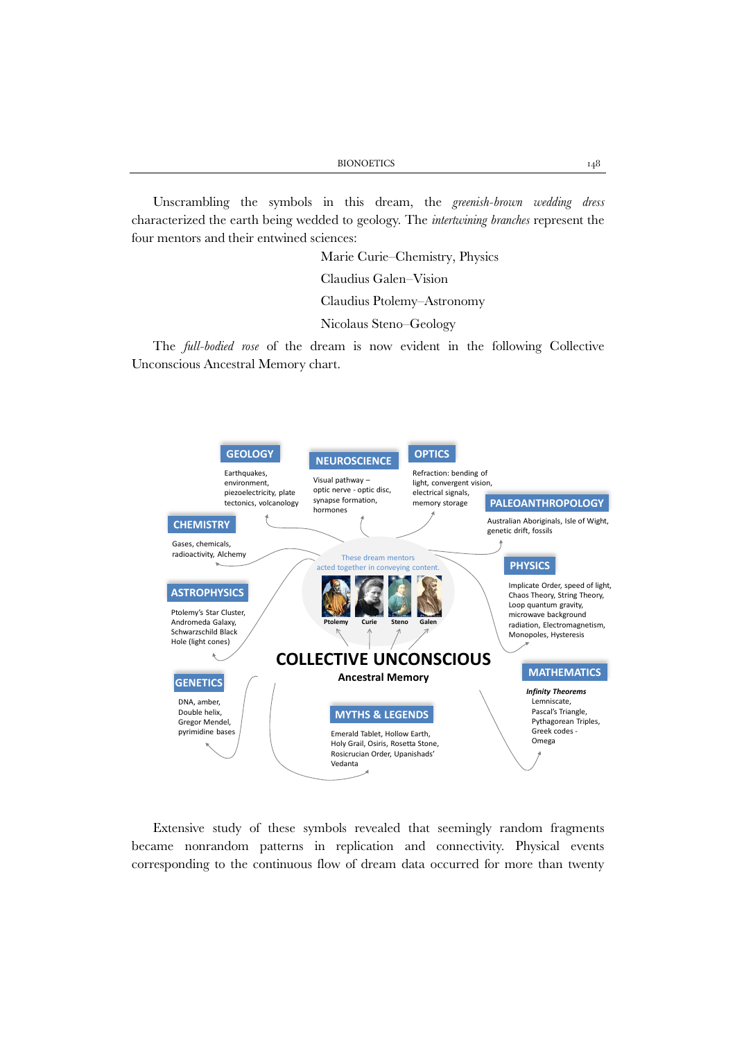Unscrambling the symbols in this dream, the *greenish-brown wedding dress* characterized the earth being wedded to geology. The *intertwining branches* represent the four mentors and their entwined sciences:

> Marie Curie–Chemistry, Physics Claudius Galen–Vision

Claudius Ptolemy–Astronomy

Nicolaus Steno–Geology

The *full-bodied rose* of the dream is now evident in the following Collective Unconscious Ancestral Memory chart.



Extensive study of these symbols revealed that seemingly random fragments became nonrandom patterns in replication and connectivity. Physical events corresponding to the continuous flow of dream data occurred for more than twenty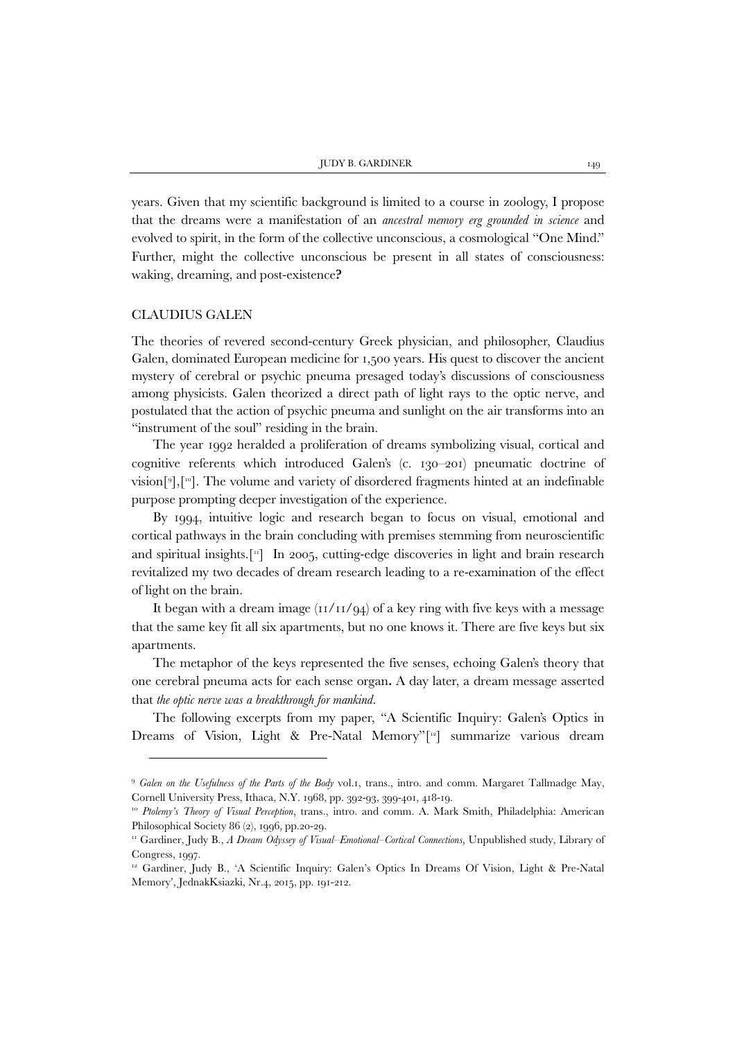years. Given that my scientific background is limited to a course in zoology, I propose that the dreams were a manifestation of an *ancestral memory erg grounded in science* and evolved to spirit, in the form of the collective unconscious, a cosmological "One Mind." Further, might the collective unconscious be present in all states of consciousness: waking, dreaming, and post-existence**?**

#### CLAUDIUS GALEN

1

The theories of revered second-century Greek physician, and philosopher, Claudius Galen, dominated European medicine for 1,500 years. His quest to discover the ancient mystery of cerebral or psychic pneuma presaged today's discussions of consciousness among physicists. Galen theorized a direct path of light rays to the optic nerve, and postulated that the action of psychic pneuma and sunlight on the air transforms into an "instrument of the soul" residing in the brain.

The year 1992 heralded a proliferation of dreams symbolizing visual, cortical and cognitive referents which introduced Galen's (c. 130–201) pneumatic doctrine of vision[[9](#page-8-0) ],[[10\]](#page-8-1). The volume and variety of disordered fragments hinted at an indefinable purpose prompting deeper investigation of the experience.

By 1994, intuitive logic and research began to focus on visual, emotional and cortical pathways in the brain concluding with premises stemming from neuroscientific and spiritual insights.[[11\]](#page-8-2) In 2005, cutting-edge discoveries in light and brain research revitalized my two decades of dream research leading to a re-examination of the effect of light on the brain.

It began with a dream image  $(11/11/94)$  of a key ring with five keys with a message that the same key fit all six apartments, but no one knows it. There are five keys but six apartments.

The metaphor of the keys represented the five senses, echoing Galen's theory that one cerebral pneuma acts for each sense organ**.** A day later, a dream message asserted that *the optic nerve was a breakthrough for mankind.*

The following excerpts from my paper, "A Scientific Inquiry: Galen's Optics in Dreams of Vision, Light & Pre-Natal Memory"[\[12](#page-8-3)] summarize various dream

<span id="page-8-0"></span><sup>9</sup> *Galen on the Usefulness of the Parts of the Body* vol.1, trans., intro. and comm. Margaret Tallmadge May, Cornell University Press, Ithaca, N.Y. 1968, pp. 392-93, 399-401, 418-19.

<span id="page-8-1"></span><sup>&</sup>lt;sup>10</sup> Ptolemy's Theory of Visual Perception, trans., intro. and comm. A. Mark Smith, Philadelphia: American Philosophical Society 86 (2), 1996, pp.20-29.

<span id="page-8-2"></span><sup>11</sup> Gardiner, Judy B., *A Dream Odyssey of Visual–Emotional–Cortical Connections*, Unpublished study, Library of Congress, 1997.

<span id="page-8-3"></span><sup>12</sup> Gardiner, Judy B., 'A Scientific Inquiry: Galen's Optics In Dreams Of Vision, Light & Pre-Natal Memory', JednakKsiazki, Nr.4, 2015, pp. 191-212.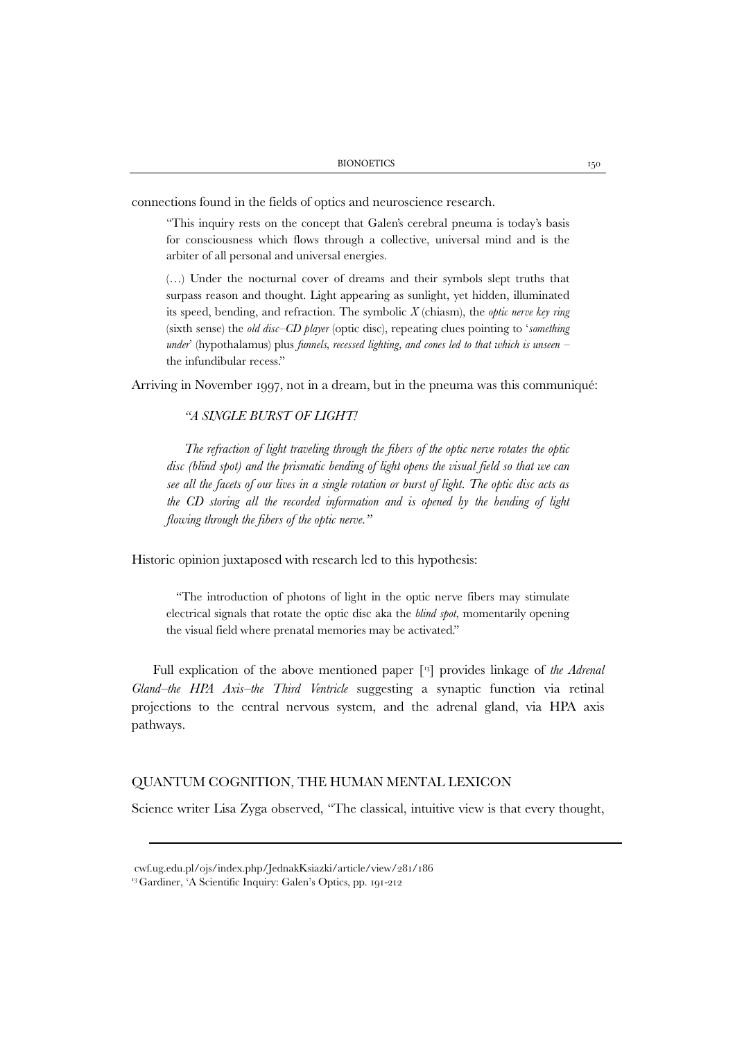connections found in the fields of optics and neuroscience research.

"This inquiry rests on the concept that Galen's cerebral pneuma is today's basis for consciousness which flows through a collective, universal mind and is the arbiter of all personal and universal energies.

(…) Under the nocturnal cover of dreams and their symbols slept truths that surpass reason and thought. Light appearing as sunlight, yet hidden, illuminated its speed, bending, and refraction. The symbolic *X* (chiasm), the *optic nerve key ring*  (sixth sense) the *old disc–CD player* (optic disc), repeating clues pointing to '*something under*' (hypothalamus) plus *funnels, recessed lighting, and cones led to that which is unseen –*  the infundibular recess."

Arriving in November 1997, not in a dream, but in the pneuma was this communiqué:

# *"A SINGLE BURST OF LIGHT!*

*The refraction of light traveling through the fibers of the optic nerve rotates the optic disc (blind spot) and the prismatic bending of light opens the visual field so that we can see all the facets of our lives in a single rotation or burst of light. The optic disc acts as the CD storing all the recorded information and is opened by the bending of light flowing through the fibers of the optic nerve."* 

Historic opinion juxtaposed with research led to this hypothesis:

"The introduction of photons of light in the optic nerve fibers may stimulate electrical signals that rotate the optic disc aka the *blind spot*, momentarily opening the visual field where prenatal memories may be activated."

Full explication of the above mentioned paper [[13](#page-9-0)] provides linkage of *the Adrenal Gland–the HPA Axis–the Third Ventricle* suggesting a synaptic function via retinal projections to the central nervous system, and the adrenal gland, via HPA axis pathways.

# QUANTUM COGNITION, THE HUMAN MENTAL LEXICON

Science writer Lisa Zyga observed, "The classical, intuitive view is that every thought,

[cwf.ug.edu.pl/ojs/index.php/JednakKsiazki/article/view/281/186](http://cwf.ug.edu.pl/ojs/index.php/JednakKsiazki/article/view/281/186)

<span id="page-9-0"></span><sup>13</sup> Gardiner, 'A Scientific Inquiry: Galen's Optics, pp. 191-212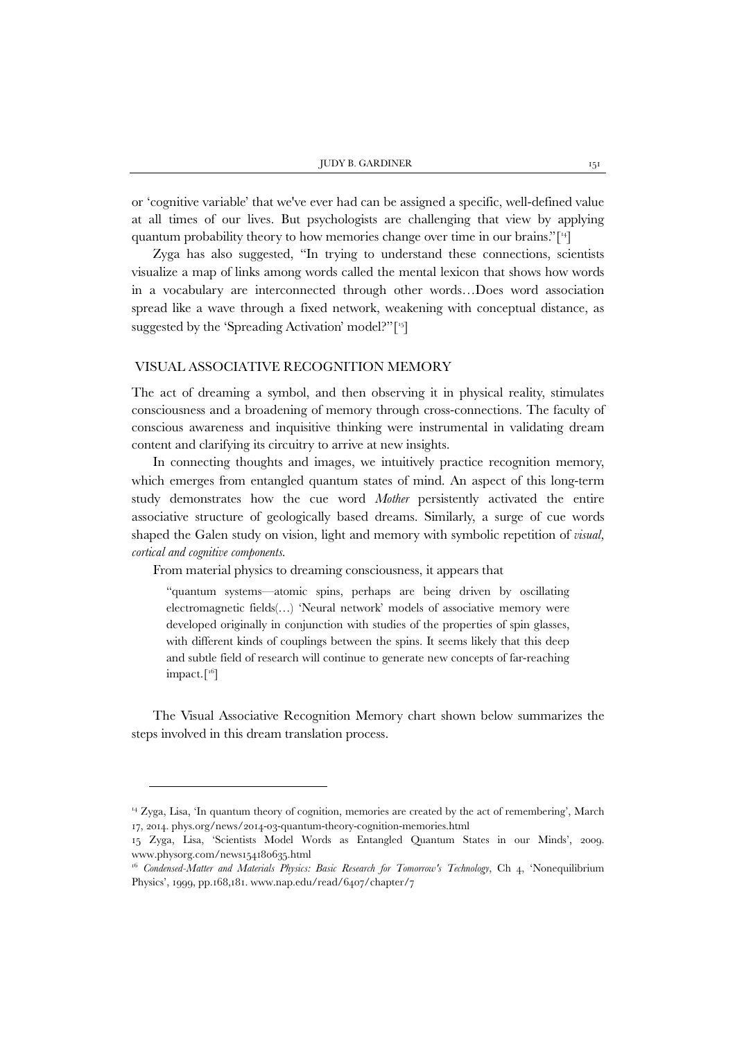or 'cognitive variable' that we've ever had can be assigned a specific, well-defined value at all times of our lives. But psychologists are challenging that view by applying quantum probability theory to how memories change over time in our brains."[[14](#page-10-0)]

Zyga has also suggested, "In trying to understand these connections, scientists visualize a map of links among words called the mental lexicon that shows how words in a vocabulary are interconnected through other words…Does word association spread like a wave through a fixed network, weakening with conceptual distance, as suggested by the 'Spreading Activation' model?"<sup>[\[15](#page-10-1)]</sup>

#### VISUAL ASSOCIATIVE RECOGNITION MEMORY

The act of dreaming a symbol, and then observing it in physical reality, stimulates consciousness and a broadening of memory through cross-connections. The faculty of conscious awareness and inquisitive thinking were instrumental in validating dream content and clarifying its circuitry to arrive at new insights.

In connecting thoughts and images, we intuitively practice recognition memory, which emerges from entangled quantum states of mind. An aspect of this long-term study demonstrates how the cue word *Mother* persistently activated the entire associative structure of geologically based dreams. Similarly, a surge of cue words shaped the Galen study on vision, light and memory with symbolic repetition of *visual, cortical and cognitive components.*

From material physics to dreaming consciousness, it appears that

1

"quantum systems—atomic spins, perhaps are being driven by oscillating electromagnetic fields(…) 'Neural network' models of associative memory were developed originally in conjunction with studies of the properties of spin glasses, with different kinds of couplings between the spins. It seems likely that this deep and subtle field of research will continue to generate new concepts of far-reaching  $impact.$ [<sup>16</sup>]

The Visual Associative Recognition Memory chart shown below summarizes the steps involved in this dream translation process.

<span id="page-10-0"></span><sup>14</sup> Zyga, Lisa, 'In quantum theory of cognition, memories are created by the act of remembering', March 17, 2014. [phys.org/news/2014-03-quantum-theory-cognition-memories.html](https://phys.org/news/2014-03-quantum-theory-cognition-memories.html)

<span id="page-10-1"></span><sup>15</sup> Zyga, Lisa, 'Scientists Model Words as Entangled Quantum States in our Minds', 2009. [www.physorg.com/news154180635.html](http://www.physorg.com/news154180635.html)

<span id="page-10-2"></span><sup>16</sup> *Condensed-Matter and Materials Physics: Basic Research for Tomorrow's Technology*, Ch 4, 'Nonequilibrium Physics', 1999, pp.168,181. [www.nap.edu/read/6407/chapter/7](http://www.nap.edu/read/6407/chapter/7)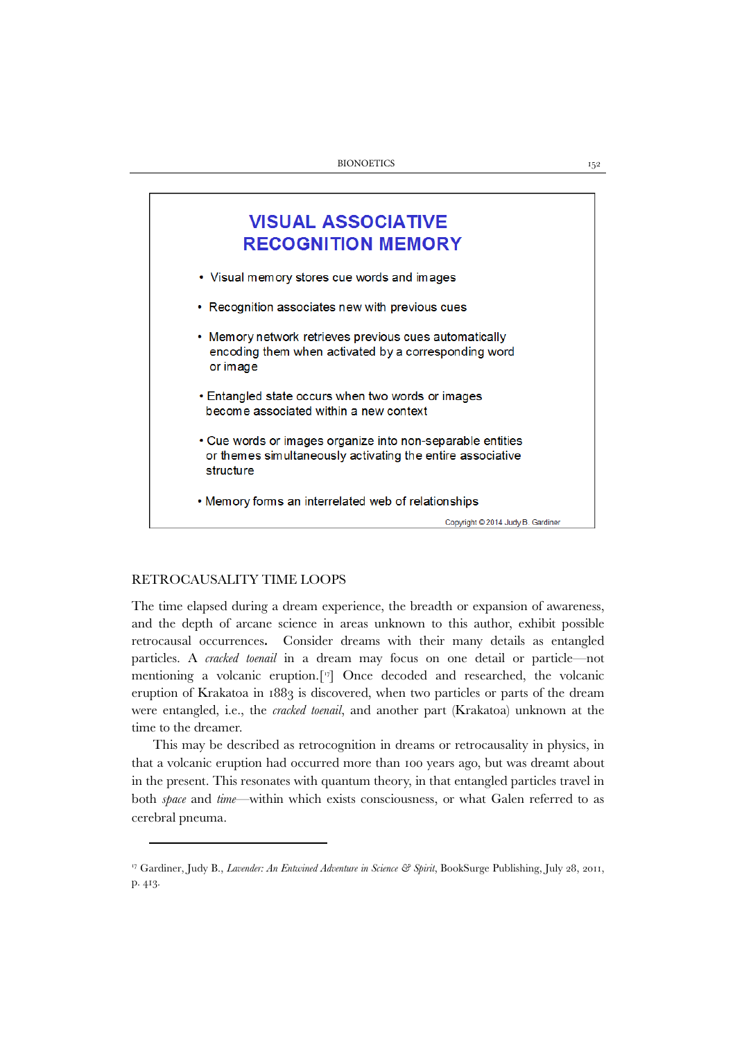

# RETROCAUSALITY TIME LOOPS

The time elapsed during a dream experience, the breadth or expansion of awareness, and the depth of arcane science in areas unknown to this author, exhibit possible retrocausal occurrences**.** Consider dreams with their many details as entangled particles. A *cracked toenail* in a dream may focus on one detail or particle—not mentioning a volcanic eruption.[[17](#page-11-0)] Once decoded and researched, the volcanic eruption of Krakatoa in 1883 is discovered, when two particles or parts of the dream were entangled, i.e., the *cracked toenail*, and another part (Krakatoa) unknown at the time to the dreamer.

This may be described as retrocognition in dreams or retrocausality in physics, in that a volcanic eruption had occurred more than 100 years ago, but was dreamt about in the present. This resonates with quantum theory, in that entangled particles travel in both *space* and *time*—within which exists consciousness, or what Galen referred to as cerebral pneuma.

<span id="page-11-0"></span><sup>&</sup>lt;sup>17</sup> Gardiner, Judy B., *Lavender: An Entwined Adventure in Science & Spirit*, BookSurge Publishing, July 28, 2011, p. 413.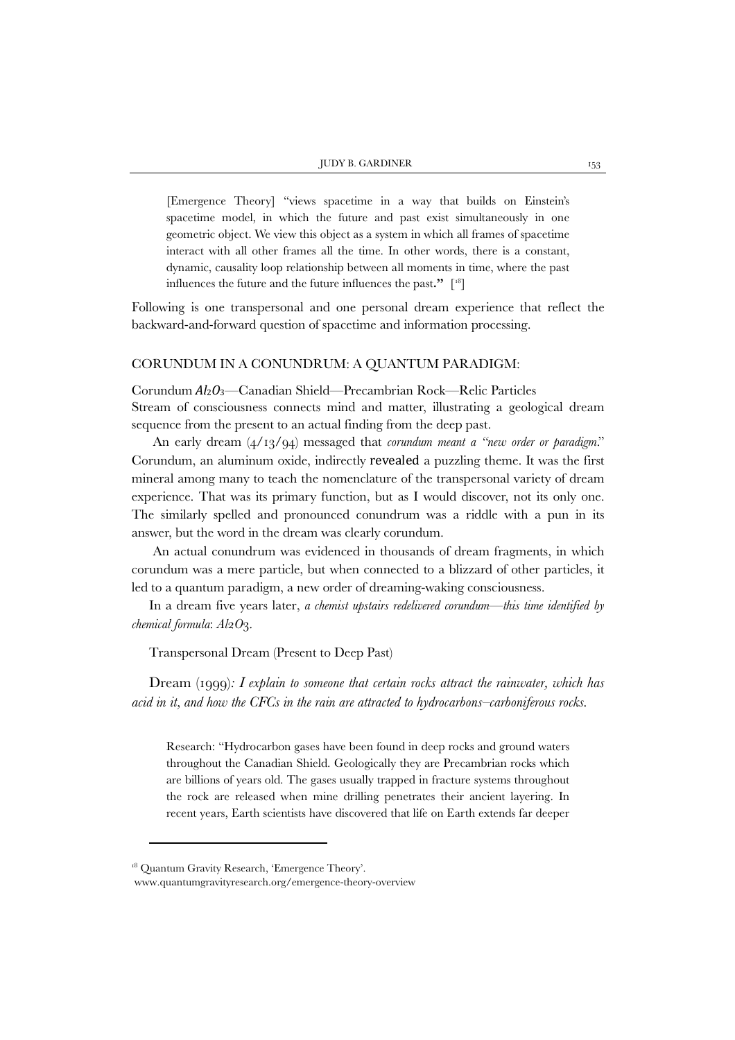[Emergence Theory] "views spacetime in a way that builds on Einstein's spacetime model, in which the future and past exist simultaneously in one geometric object. We view this object as a system in which all frames of spacetime interact with all other frames all the time. In other words, there is a constant, dynamic, causality loop relationship between all moments in time, where the past influences the future and the future influences the past**."** [[18](#page-12-0)]

Following is one transpersonal and one personal dream experience that reflect the backward-and-forward question of spacetime and information processing.

#### CORUNDUM IN A CONUNDRUM: A QUANTUM PARADIGM:

Corundum *Al*2*O*3—Canadian Shield—Precambrian Rock—Relic Particles Stream of consciousness connects mind and matter, illustrating a geological dream sequence from the present to an actual finding from the deep past.

An early dream (4/13/94) messaged that *corundum meant a "new order or paradigm*." Corundum, an aluminum oxide, indirectly revealed a puzzling theme. It was the first mineral among many to teach the nomenclature of the transpersonal variety of dream experience. That was its primary function, but as I would discover, not its only one. The similarly spelled and pronounced conundrum was a riddle with a pun in its answer, but the word in the dream was clearly corundum.

An actual conundrum was evidenced in thousands of dream fragments, in which corundum was a mere particle, but when connected to a blizzard of other particles, it led to a quantum paradigm, a new order of dreaming-waking consciousness.

In a dream five years later, *a chemist upstairs redelivered corundum*—*this time identified by chemical formula*: *Al*2*O*3.

Transpersonal Dream (Present to Deep Past)

Dream (1999)*: I explain to someone that certain rocks attract the rainwater, which has acid in it, and how the CFCs in the rain are attracted to hydrocarbons–carboniferous rocks.*

Research: "Hydrocarbon gases have been found in deep rocks and ground waters throughout the Canadian Shield. Geologically they are Precambrian rocks which are billions of years old. The gases usually trapped in fracture systems throughout the rock are released when mine drilling penetrates their ancient layering. In recent years, Earth scientists have discovered that life on Earth extends far deeper

 $\overline{a}$ 

<span id="page-12-0"></span><sup>&</sup>lt;sup>18</sup> Quantum Gravity Research, 'Emergence Theory'.

[www.quantumgravityresearch.org/emergence-theory-overview](http://www.quantumgravityresearch.org/emergence-theory-overview)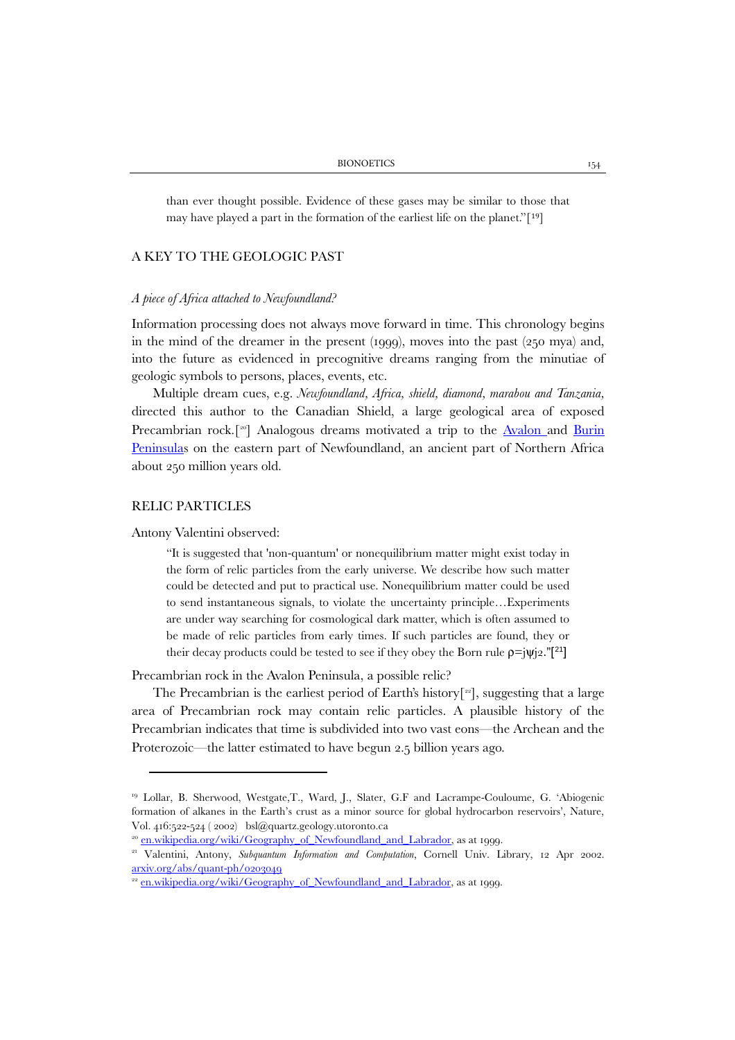than ever thought possible. Evidence of these gases may be similar to th[os](#page-13-0)e that may have played a part in the formation of the earliest life on the planet."[19]

# A KEY TO THE GEOLOGIC PAST

#### *A piece of Africa attached to Newfoundland?*

Information processing does not always move forward in time. This chronology begins in the mind of the dreamer in the present (1999), moves into the past (250 mya) and, into the future as evidenced in precognitive dreams ranging from the minutiae of geologic symbols to persons, places, events, etc.

Multiple dream cues, e.g. *Newfoundland, Africa, shield, diamond, marabou and Tanzania,* directed this author to the Canadian Shield, a large geological area of exposed Precambrian rock.<sup>[[20\]](#page-13-1)</sup> Analogous dreams motivated a trip to the [Avalon a](https://en.wikipedia.org/wiki/Avalon_Peninsula)nd Burin [Peninsulas](https://en.wikipedia.org/wiki/Burin_Peninsula) on the eastern part of Newfoundland, an ancient part of Northern Africa about 250 million years old.

# RELIC PARTICLES

Antony Valentini observed:

"It is suggested that 'non-quantum' or nonequilibrium matter might exist today in the form of relic particles from the early universe. We describe how such matter could be detected and put to practical use. Nonequilibrium matter could be used to send instantaneous signals, to violate the uncertainty principle…Experiments are under way searching for cosmological dark matter, which is often assumed to be made of relic particles from early times. If such particles are found, they or their decay products could be tested to see if they obey the Born rule  $p=|\psi|_2$ ."[<sup>[21](#page-13-2)</sup>]

Precambrian rock in the Avalon Peninsula, a possible relic?

The Precambrian is the earliest period of Earth's history<sup>[[22](#page-13-3)]</sup>, suggesting that a large area of Precambrian rock may contain relic particles. A plausible history of the Precambrian indicates that time is subdivided into two vast eons—the Archean and the Proterozoic—the latter estimated to have begun 2.5 billion years ago.

<span id="page-13-0"></span><sup>19</sup> Lollar, B. Sherwood, Westgate,T., Ward, J., Slater, G.F and Lacrampe-Couloume, G. 'Abiogenic formation of alkanes in the Earth's crust as a minor source for global hydrocarbon reservoirs', Nature, Vol. 416:522-524 ( 2002) [bsl@quartz.geology.utoronto.ca](mailto:bsl@quartz.geology.utoronto.ca)

<span id="page-13-1"></span><sup>&</sup>lt;sup>20</sup> [en.wikipedia.org/wiki/Geography\\_of\\_Newfoundland\\_and\\_Labrador,](https://en.wikipedia.org/wiki/Geography_of_Newfoundland_and_Labrador) as at 1999.

<span id="page-13-2"></span><sup>21</sup> Valentini, Antony, *Subquantum Information and Computation*, Cornell Univ. Library, 12 Apr 2002. arxiv.org/abs/quant-ph/0203049<br><sup>22</sup> [en.wikipedia.org/wiki/Geography\\_of\\_Newfoundland\\_and\\_Labrador,](https://en.wikipedia.org/wiki/Geography_of_Newfoundland_and_Labrador) as at 1999.

<span id="page-13-3"></span>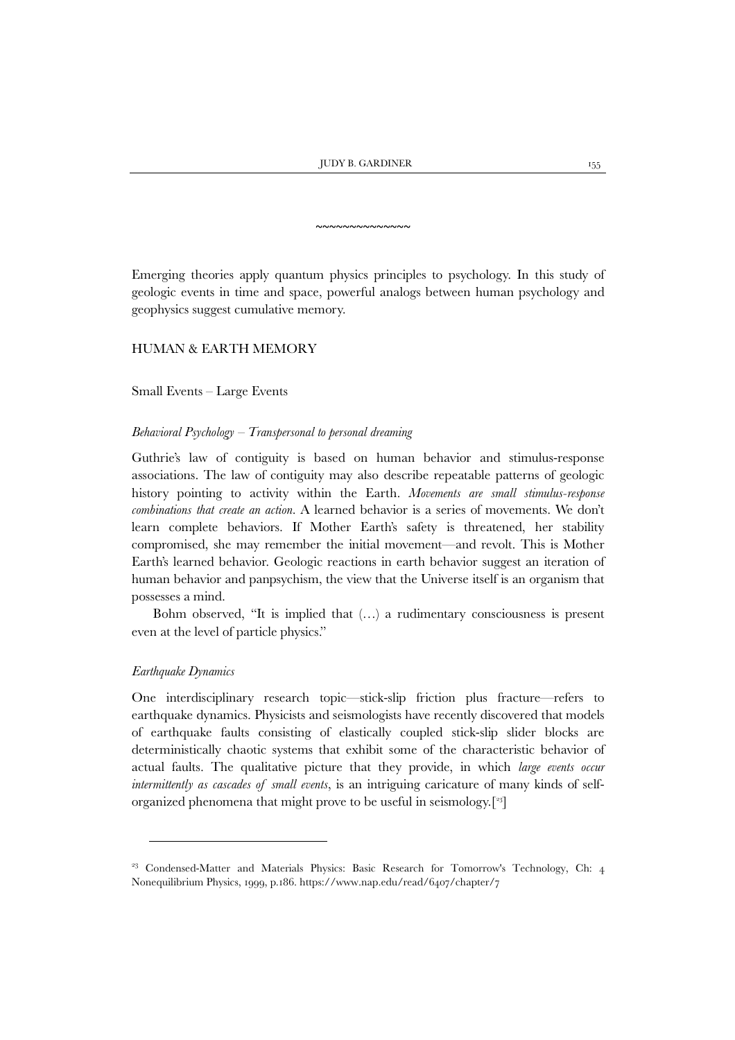~~~~~~~~~~~~~~

Emerging theories apply quantum physics principles to psychology. In this study of geologic events in time and space, powerful analogs between human psychology and geophysics suggest cumulative memory.

# HUMAN & EARTH MEMORY

Small Events – Large Events

#### *Behavioral Psychology – Transpersonal to personal dreaming*

Guthrie's law of contiguity is based on human behavior and stimulus-response associations. The law of contiguity may also describe repeatable patterns of geologic history pointing to activity within the Earth. *Movements are small stimulus-response combinations that create an action.* A learned behavior is a series of movements. We don't learn complete behaviors. If Mother Earth's safety is threatened, her stability compromised, she may remember the initial movement—and revolt. This is Mother Earth's learned behavior. Geologic reactions in earth behavior suggest an iteration of human behavior and panpsychism, the view that the Universe itself is an organism that possesses a mind.

Bohm observed, "It is implied that (…) a rudimentary consciousness is present even at the level of particle physics."

# *Earthquake Dynamics*

1

One interdisciplinary research topic—stick-slip friction plus fracture—refers to earthquake dynamics. Physicists and seismologists have recently discovered that models of earthquake faults consisting of elastically coupled stick-slip slider blocks are deterministically chaotic systems that exhibit some of the characteristic behavior of actual faults. The qualitative picture that they provide, in which *large events occur intermittently as cascades of small events*, is an intriguing caricature of many kinds of selforganized phenomena that might prove to be useful in seismology.[[23\]](#page-15-0)

<sup>&</sup>lt;sup>23</sup> Condensed-Matter and Materials Physics: Basic Research for Tomorrow's Technology, Ch: 4 Nonequilibrium Physics, 1999, p.186[. https://www.nap.edu/read/6407/chapter/7](https://www.nap.edu/read/6407/chapter/7)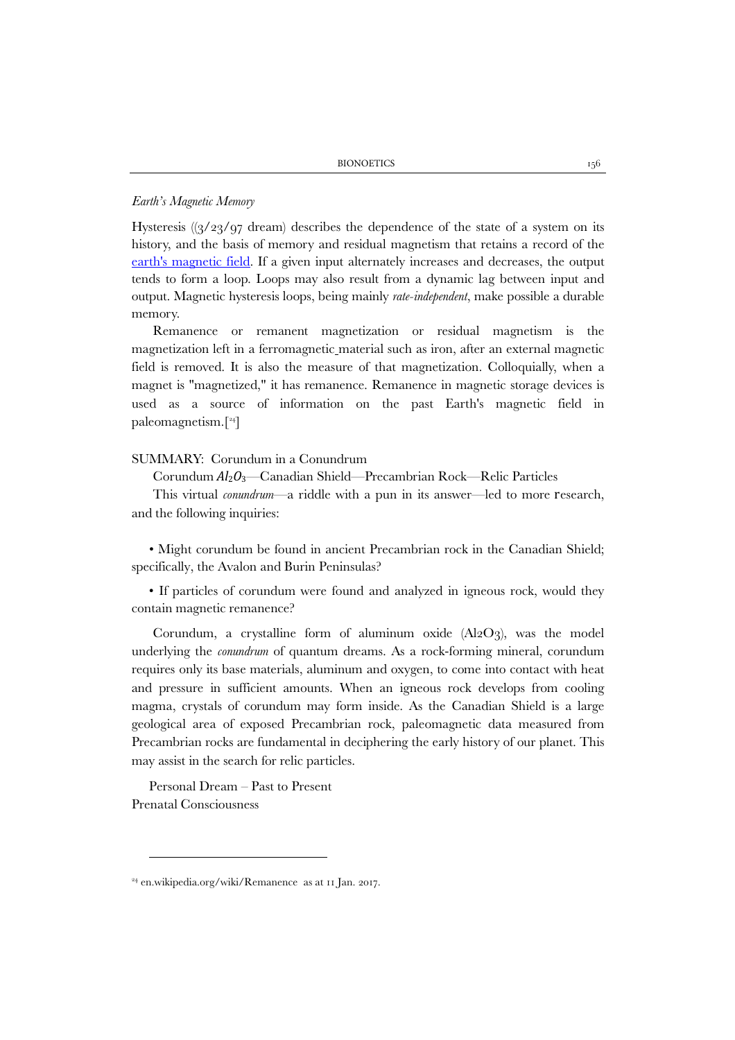# *Earth's Magnetic Memory*

Hysteresis  $((3/23/97 \text{ dream})$  describes the dependence of the state of a system on its history, and the basis of memory and residual magnetism that retains a record of the [earth's magnetic field.](https://en.wikipedia.org/wiki/Earth%27s_magnetic_field) If a given input alternately increases and decreases, the output tends to form a loop. Loops may also result from a dynamic lag between input and output. Magnetic hysteresis loops, being mainly *rate-independent*, make possible a durable memory.

Remanence or remanent magnetization or residual magnetism is the magnetization left in a ferromagnetic material such as iron, after an external magnetic field is removed. It is also the measure of that magnetization. Colloquially, when a magnet is "magnetized," it has remanence. Remanence in magnetic storage devices is used as a source of information on the past Earth's magnetic field in paleomagnetism.[[24\]](#page-15-1)

# SUMMARY: Corundum in a Conundrum

Corundum *Al*2*O*3—Canadian Shield—Precambrian Rock—Relic Particles

This virtual *conundrum*—a riddle with a pun in its answer—led to more research, and the following inquiries:

• Might corundum be found in ancient Precambrian rock in the Canadian Shield; specifically, the Avalon and Burin Peninsulas?

• If particles of corundum were found and analyzed in igneous rock, would they contain magnetic remanence?

Corundum, a crystalline form of aluminum oxide  $(A_2O_3)$ , was the model underlying the *conundrum* of quantum dreams. As a rock-forming mineral, corundum requires only its base materials, aluminum and oxygen, to come into contact with heat and pressure in sufficient amounts. When an igneous rock develops from cooling magma, crystals of corundum may form inside. As the Canadian Shield is a large geological area of exposed Precambrian rock, paleomagnetic data measured from Precambrian rocks are fundamental in deciphering the early history of our planet. This may assist in the search for relic particles.

Personal Dream – Past to Present Prenatal Consciousness

<span id="page-15-1"></span><span id="page-15-0"></span><sup>24</sup> [en.wikipedia.org/wiki/Remanence](https://en.wikipedia.org/wiki/Remanence) as at 11 Jan. 2017.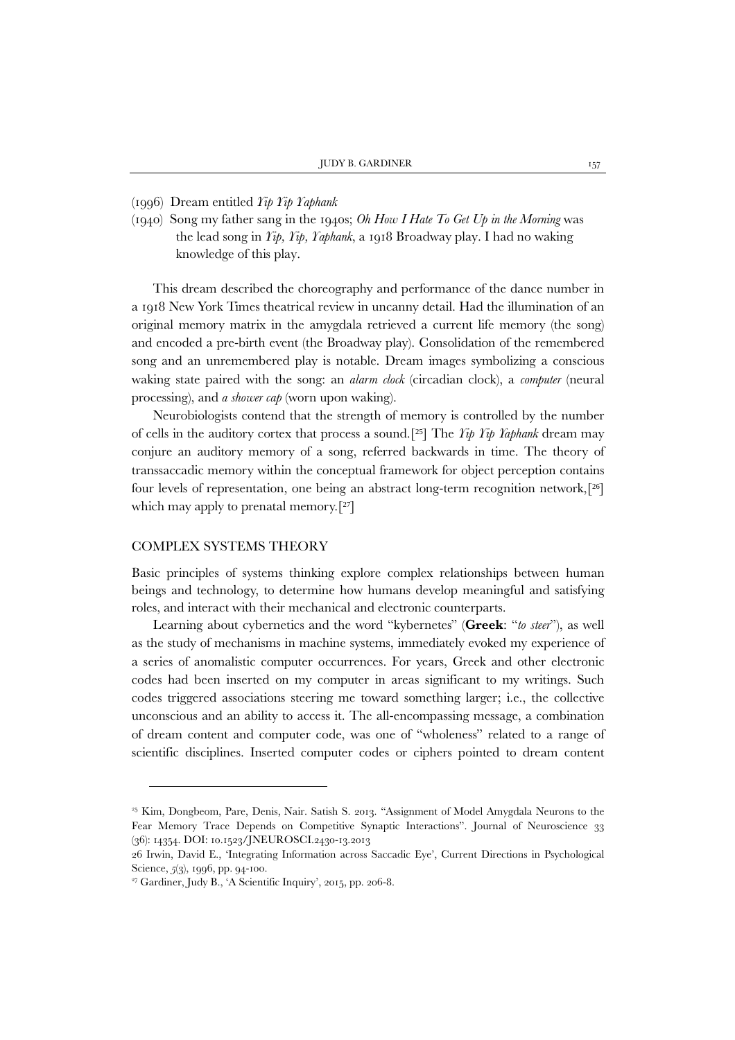#### (1996) Dream entitled *Yip Yip Yaphank*

(1940) Song my father sang in the 1940s; *Oh How I Hate To Get Up in the Morning* was the lead song in *Yip, Yip, Yaphank*, a 1918 Broadway play. I had no waking knowledge of this play.

This dream described the choreography and performance of the dance number in a 1918 New York Times theatrical review in uncanny detail. Had the illumination of an original memory matrix in the amygdala retrieved a current life memory (the song) and encoded a pre-birth event (the Broadway play). Consolidation of the remembered song and an unremembered play is notable. Dream images symbolizing a conscious waking state paired with the song: an *alarm clock* (circadian clock), a *computer* (neural processing), and *a shower cap* (worn upon waking).

Neurobiologists contend that the strength of memory is controlled by the number of cells in the auditory cortex that process a sound.[[25](#page-16-0)] The *Yip Yip Yaphank* dream may conjure an auditory memory of a song, referred backwards in time. The theory of transsaccadic memory within the conceptual framework for object perception contains four levels of representation, one being an abstract long-term recognition network,[[26](#page-16-1)] which may apply to prenatal memory.<sup>[[27](#page-16-2)]</sup>

# COMPLEX SYSTEMS THEORY

1

Basic principles of systems thinking explore complex relationships between human beings and technology, to determine how humans develop meaningful and satisfying roles, and interact with their mechanical and electronic counterparts.

Learning about cybernetics and the word "kybernetes" (**Greek**: "*to steer*"), as well as the study of mechanisms in machine systems, immediately evoked my experience of a series of anomalistic computer occurrences. For years, Greek and other electronic codes had been inserted on my computer in areas significant to my writings. Such codes triggered associations steering me toward something larger; i.e., the collective unconscious and an ability to access it. The all-encompassing message, a combination of dream content and computer code, was one of "wholeness" related to a range of scientific disciplines. Inserted computer codes or ciphers pointed to dream content

<span id="page-16-0"></span><sup>&</sup>lt;sup>25</sup> Kim, Dongbeom, Pare, Denis, Nair. Satish S. 2013. "Assignment of Model Amygdala Neurons to the Fear Memory Trace Depends on Competitive Synaptic Interactions". Journal of Neuroscience 33 (36): 14354. DOI: 10.1523/JNEUROSCI.2430-13.2013

<span id="page-16-1"></span><sup>26</sup> Irwin, David E., 'Integrating Information across Saccadic Eye', Current Directions in Psychological Science, *5*(3), 1996, pp. 94-100.

<span id="page-16-2"></span><sup>27</sup> Gardiner, Judy B., 'A Scientific Inquiry', 2015, pp. 206-8.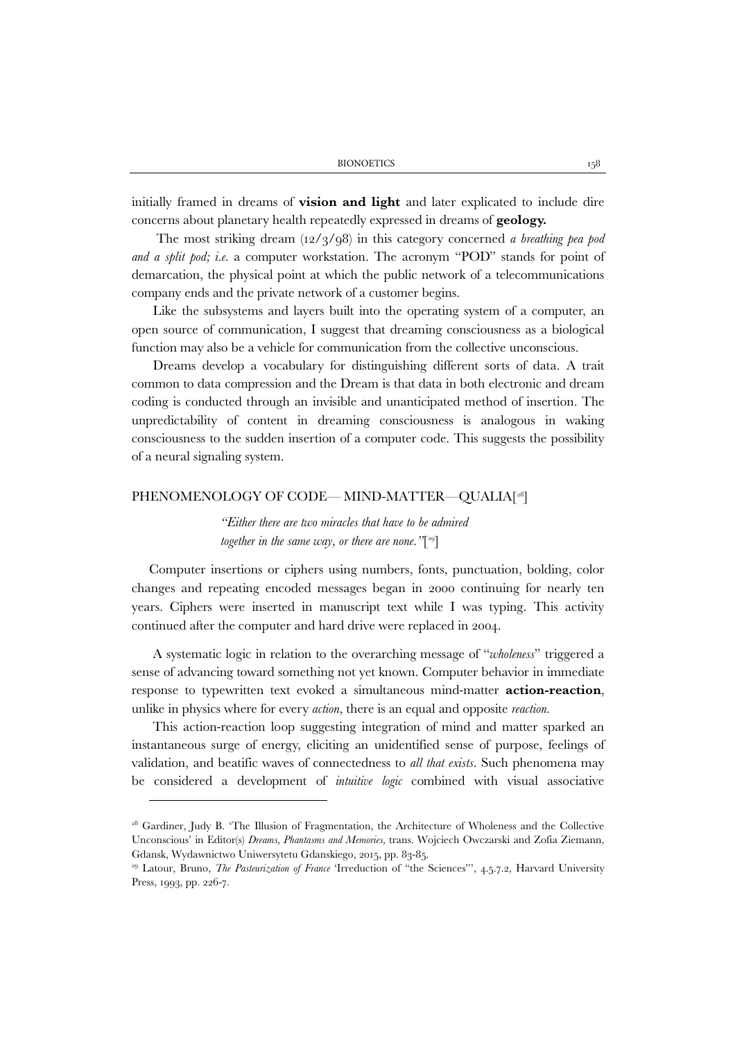initially framed in dreams of **vision and light** and later explicated to include dire concerns about planetary health repeatedly expressed in dreams of **geology.**

The most striking dream (12/3/98) in this category concerned *a breathing pea pod and a split pod; i.e.* a computer workstation. The acronym "POD" stands for point of demarcation, the physical point at which the public network of a telecommunications company ends and the private network of a customer begins.

Like the subsystems and layers built into the operating system of a computer, an open source of communication, I suggest that dreaming consciousness as a biological function may also be a vehicle for communication from the collective unconscious.

Dreams develop a vocabulary for distinguishing different sorts of data. A trait common to data compression and the Dream is that data in both electronic and dream coding is conducted through an invisible and unanticipated method of insertion. The unpredictability of content in dreaming consciousness is analogous in waking consciousness to the sudden insertion of a computer code. This suggests the possibility of a neural signaling system.

## PHENOMENOLOGY OF CODE— MIND-MATTER—QUALIA[[28\]](#page-17-0)

*"Either there are two miracles that have to be admired together in the same way, or there are none."*[[29\]](#page-17-1)

Computer insertions or ciphers using numbers, fonts, punctuation, bolding, color changes and repeating encoded messages began in 2000 continuing for nearly ten years. Ciphers were inserted in manuscript text while I was typing. This activity continued after the computer and hard drive were replaced in 2004.

A systematic logic in relation to the overarching message of "*wholeness*" triggered a sense of advancing toward something not yet known. Computer behavior in immediate response to typewritten text evoked a simultaneous mind-matter **action-reaction**, unlike in physics where for every *action*, there is an equal and opposite *reaction.*

This action-reaction loop suggesting integration of mind and matter sparked an instantaneous surge of energy, eliciting an unidentified sense of purpose, feelings of validation, and beatific waves of connectedness to *all that exists*. Such phenomena may be considered a development of *intuitive logic* combined with visual associative

<span id="page-17-0"></span><sup>&</sup>lt;sup>28</sup> Gardiner, Judy B. 'The Illusion of Fragmentation, the Architecture of Wholeness and the Collective Unconscious' in Editor(s) *Dreams, Phantasms and Memories,* trans*.* Wojciech Owczarski and Zofia Ziemann*,*  Gdansk, Wydawnictwo Uniwersytetu Gdanskiego, 2015, pp. 83-85.

<span id="page-17-1"></span><sup>&</sup>lt;sup>29</sup> Latour, Bruno, *The Pasteurization of France* 'Irreduction of "the Sciences"', 4.5.7.2, Harvard University Press, 1993, pp. 226-7.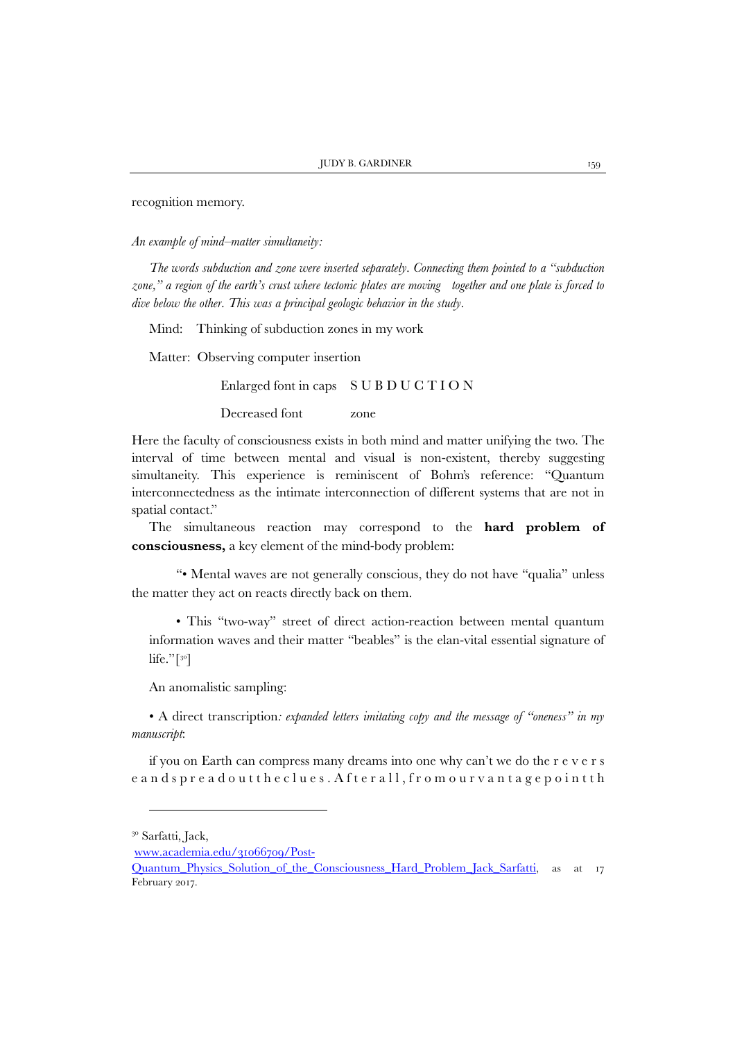recognition memory.

*An example of mind–matter simultaneity:*

*The words subduction and zone were inserted separately. Connecting them pointed to a "subduction zone," a region of the earth's crust where tectonic plates are moving together and one plate is forced to dive below the other. This was a principal geologic behavior in the study.*

Mind: Thinking of subduction zones in my work

Matter: Observing computer insertion

Enlarged font in caps S U B D U C T I O N

Decreased font zone

Here the faculty of consciousness exists in both mind and matter unifying the two. The interval of time between mental and visual is non-existent, thereby suggesting simultaneity. This experience is reminiscent of Bohm's reference: "Quantum interconnectedness as the intimate interconnection of different systems that are not in spatial contact."

The simultaneous reaction may correspond to the **hard problem of consciousness,** a key element of the mind-body problem:

"• Mental waves are not generally conscious, they do not have "qualia" unless the matter they act on reacts directly back on them.

• This "two-way" street of direct action-reaction between mental quantum information waves and their matter "beables" is the elan-vital essential signature of life." $\lceil$ <sup>[30](#page-18-0)</sup>]

An anomalistic sampling:

• A direct transcription*: expanded letters imitating copy and the message of "oneness" in my manuscript*:

if you on Earth can compress many dreams into one why can't we do the r e v e r s e and spread out the clues. After all, from our vantage point th

1

<span id="page-18-0"></span><sup>&</sup>lt;sup>30</sup> Sarfatti, Jack,

[www.academia.edu/31066709/Post-](http://www.academia.edu/31066709/Post-Quantum_Physics_Solution_of_the_Consciousness_Hard_Problem_Jack_Sarfatti)

[Quantum\\_Physics\\_Solution\\_of\\_the\\_Consciousness\\_Hard\\_Problem\\_Jack\\_Sarfatti,](http://www.academia.edu/31066709/Post-Quantum_Physics_Solution_of_the_Consciousness_Hard_Problem_Jack_Sarfatti) as at 17 February 2017.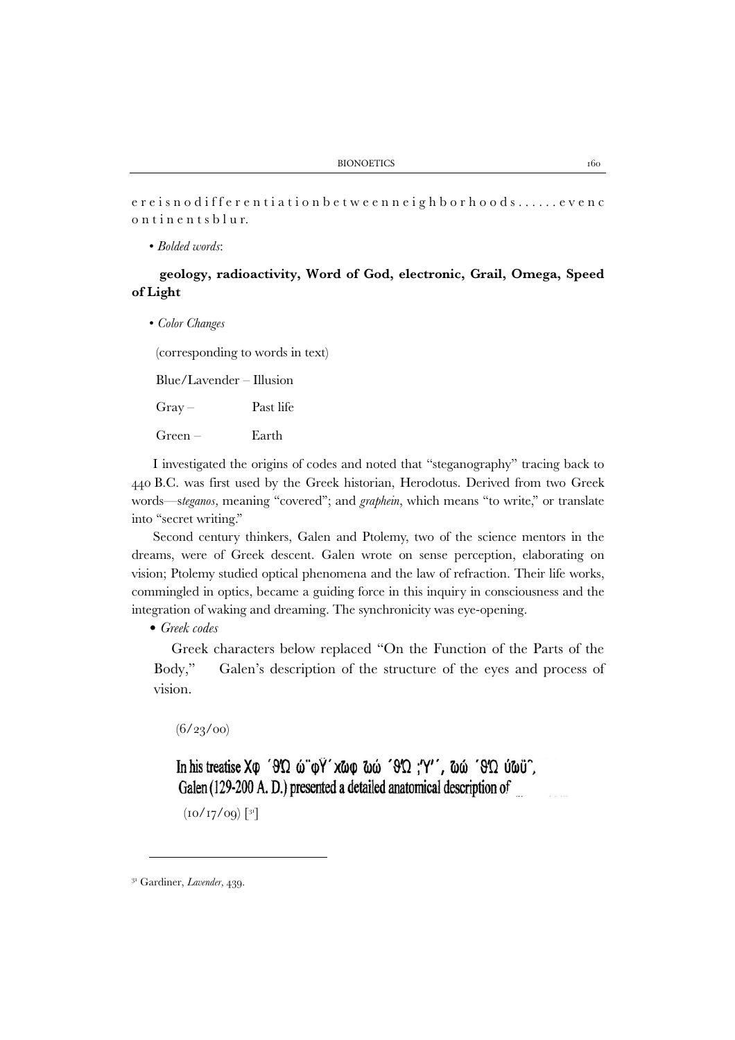e r e i s n o d i f f e r e n t i a t i o n b e t w e e n n e i g h b o r h o o d s . . . . . . e v e n c ontinents blur.

#### • *Bolded words*:

# **geology, radioactivity, Word of God, electronic, Grail, Omega, Speed of Light**

• *Color Changes*

(corresponding to words in text)

Blue/Lavender – Illusion

Gray – Past life

Green – Earth

I investigated the origins of codes and noted that "steganography" tracing back to 440 B.C. was first used by the Greek historian, Herodotus. Derived from two Greek words—s*teganos,* meaning ''covered''; and *graphein*, which means ''to write,'' or translate into "secret writing."

Second century thinkers, Galen and Ptolemy, two of the science mentors in the dreams, were of Greek descent. Galen wrote on sense perception, elaborating on vision; Ptolemy studied optical phenomena and the law of refraction. Their life works, commingled in optics, became a guiding force in this inquiry in consciousness and the integration of waking and dreaming. The synchronicity was eye-opening.

• *Greek codes*

Greek characters below replaced "On the Function of the Parts of the Body," Galen's description of the structure of the eyes and process of vision.

 $(6/23/00)$ 

In his treatise  $X\varphi$  ' $\theta'\Omega$   $\omega \varphi'$ ' $\chi \omega \varphi$   $\omega \omega' \theta' \Omega$ ;'''',  $\omega \omega' \theta' \Omega$   $\omega \omega'$ ; Galen (129-200 A. D.) presented a detailed anatomical description of

 $(10/17/09)$   $[31]$  $[31]$  $[31]$ 

<sup>31</sup> Gardiner, *Lavender,* 439.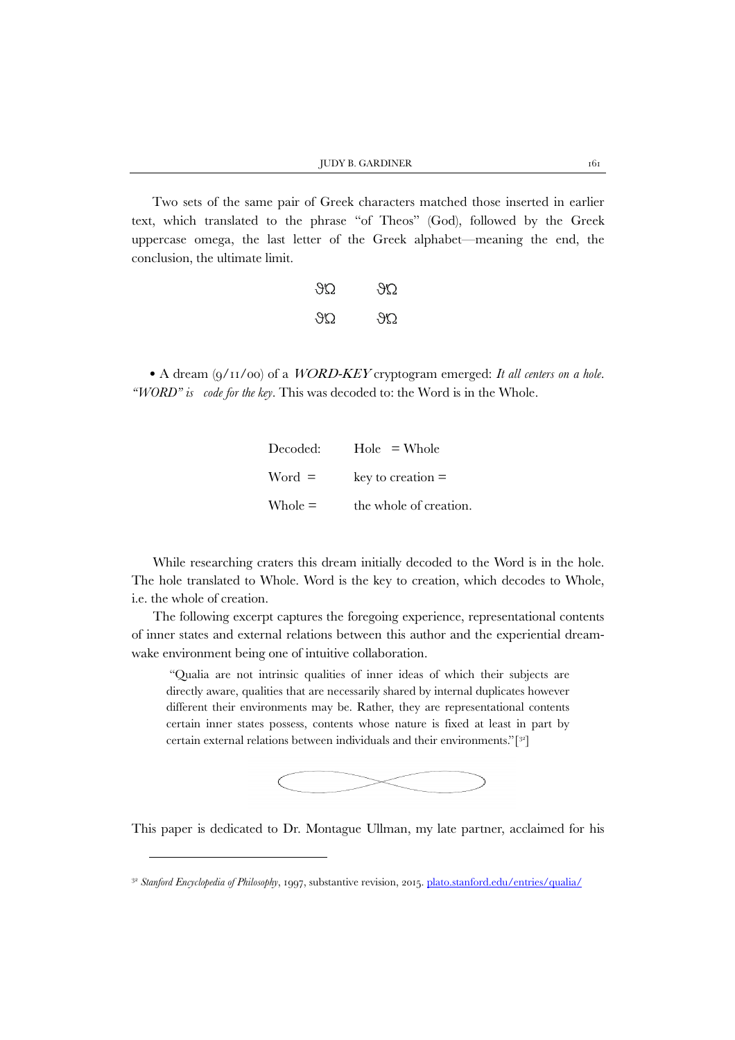Two sets of the same pair of Greek characters matched those inserted in earlier text, which translated to the phrase "of Theos" (God), followed by the Greek uppercase omega, the last letter of the Greek alphabet—meaning the end, the conclusion, the ultimate limit.

| $\mathcal{H}(\lambda)$ | 752 |
|------------------------|-----|
| $\mathcal{H}$          | YU. |

• A dream (9/11/00) of a WORD-KEY cryptogram emerged: *It all centers on a hole. ''WORD'' is code for the key.* This was decoded to: the Word is in the Whole.

| $\rm Decoded:$     | $Hole = Whole$         |
|--------------------|------------------------|
| $Word =$           | key to creation $=$    |
| $\mathrm{Whole} =$ | the whole of creation. |

While researching craters this dream initially decoded to the Word is in the hole. The hole translated to Whole. Word is the key to creation, which decodes to Whole, i.e. the whole of creation.

The following excerpt captures the foregoing experience, representational contents of inner states and external relations between this author and the experiential dreamwake environment being one of intuitive collaboration.

"Qualia are not intrinsic qualities of inner ideas of which their subjects are directly aware, qualities that are necessarily shared by internal duplicates however different their environments may be. Rather, they are representational contents certain inner states possess, contents whose nature is fixed at least in part by certain external relations between individuals and their environments."[[32](#page-20-1)]



This paper is dedicated to Dr. Montague Ullman, my late partner, acclaimed for his

1

<span id="page-20-1"></span><span id="page-20-0"></span><sup>&</sup>lt;sup>32</sup> Stanford Encyclopedia of Philosophy, 1997, substantive revision, 2015. [plato.stanford.edu/entries/qualia/](https://plato.stanford.edu/entries/qualia/)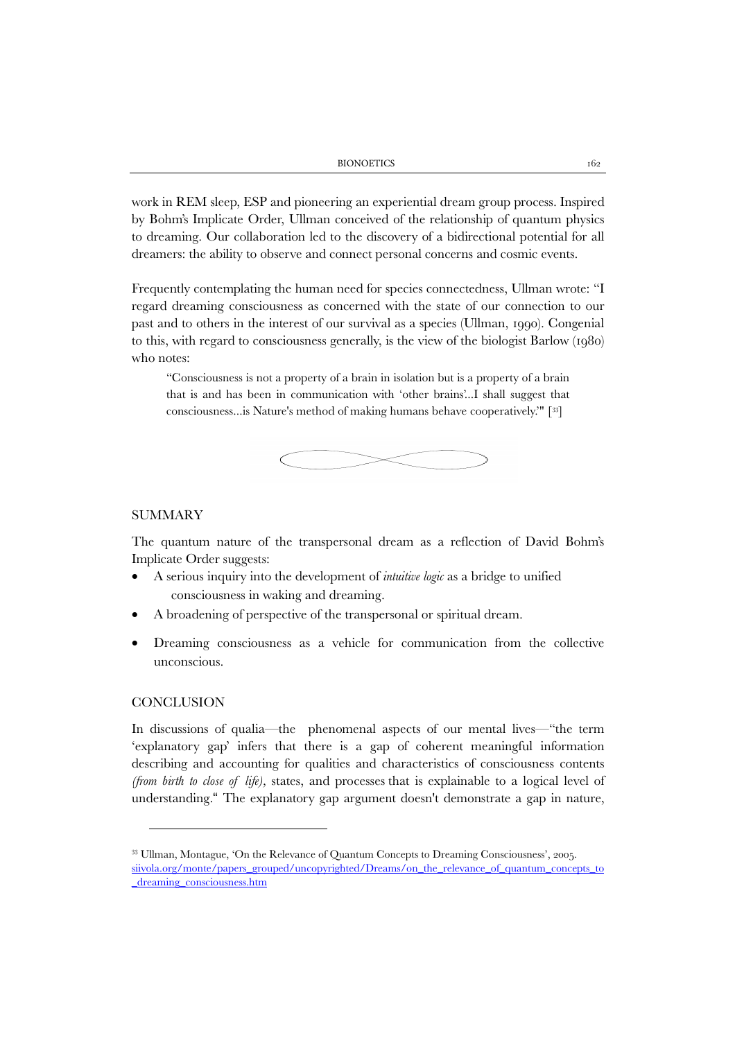work in REM sleep, ESP and pioneering an experiential dream group process. Inspired by Bohm's Implicate Order, Ullman conceived of the relationship of quantum physics to dreaming. Our collaboration led to the discovery of a bidirectional potential for all dreamers: the ability to observe and connect personal concerns and cosmic events.

Frequently contemplating the human need for species connectedness, Ullman wrote: "I regard dreaming consciousness as concerned with the state of our connection to our past and to others in the interest of our survival as a species (Ullman, 1990). Congenial to this, with regard to consciousness generally, is the view of the biologist Barlow (1980) who notes:

"Consciousness is not a property of a brain in isolation but is a property of a brain that is and has been in communication with 'other brains'...I shall suggest that consciousness...is Nature's method of making humans behave cooperatively.'" [[33](#page-21-0)]



#### **SUMMARY**

The quantum nature of the transpersonal dream as a reflection of David Bohm's Implicate Order suggests:

- A serious inquiry into the development of *intuitive logic* as a bridge to unified consciousness in waking and dreaming.
- A broadening of perspective of the transpersonal or spiritual dream.
- Dreaming consciousness as a vehicle for communication from the collective unconscious.

# **CONCLUSION**

In discussions of qualia—the phenomenal aspects of our mental lives—"the term 'explanatory gap' infers that there is a gap of coherent meaningful information describing and accounting for qualities and characteristics of consciousness contents *(from birth to close of life),* states, and processes that is explainable to a logical level of understanding." The explanatory gap argument doesn't demonstrate a gap in nature,

<span id="page-21-0"></span><sup>33</sup> Ullman, Montague, 'On the Relevance of Quantum Concepts to Dreaming Consciousness', 2005.

[siivola.org/monte/papers\\_grouped/uncopyrighted/Dreams/on\\_the\\_relevance\\_of\\_quantum\\_concepts\\_to](http://siivola.org/monte/papers_grouped/uncopyrighted/Dreams/on_the_relevance_of_quantum_concepts_to_dreaming_consciousness.htm) [\\_dreaming\\_consciousness.htm](http://siivola.org/monte/papers_grouped/uncopyrighted/Dreams/on_the_relevance_of_quantum_concepts_to_dreaming_consciousness.htm)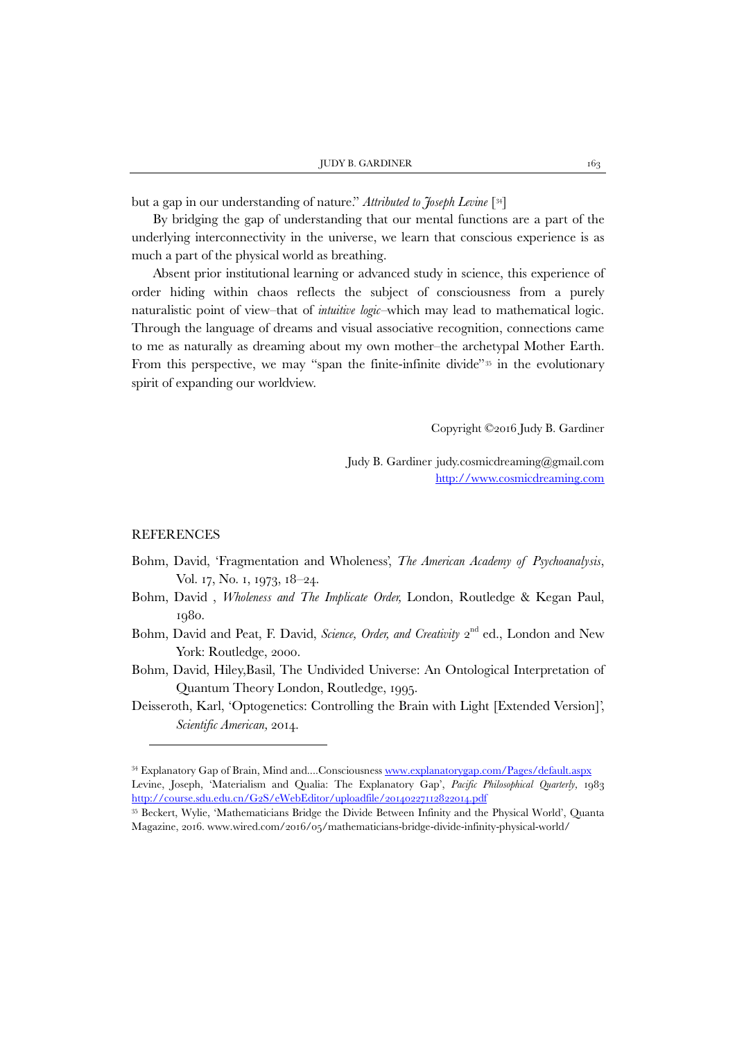but a gap in our understanding of nature." *Attributed to Joseph Levine* [[34\]](#page-22-0)

By bridging the gap of understanding that our mental functions are a part of the underlying interconnectivity in the universe, we learn that conscious experience is as much a part of the physical world as breathing.

Absent prior institutional learning or advanced study in science, this experience of order hiding within chaos reflects the subject of consciousness from a purely naturalistic point of view–that of *intuitive logic–*which may lead to mathematical logic. Through the language of dreams and visual associative recognition, connections came to me as naturally as dreaming about my own mother–the archetypal Mother Earth. From this perspective, we may "span the finite-infinite divide"<sup>[35](#page-22-1)</sup> in the evolutionary spirit of expanding our worldview.

Copyright ©2016 Judy B. Gardiner

Judy B. Gardiner judy.cosmicdreaming@gmail.com [http://www.cosmicdreaming.com](http://www.cosmicdreaming.com/)

#### REFERENCES

1

- Bohm, David, 'Fragmentation and Wholeness', *The American Academy of Psychoanalysis*, Vol. 17, No. 1, 1973, 18–24.
- Bohm, David , *Wholeness and The Implicate Order,* London, Routledge & Kegan Paul, 1980.
- Bohm, David and Peat, F. David, *Science, Order, and Creativity* 2<sup>nd</sup> ed., London and New York: Routledge, 2000.
- Bohm, David, Hiley,Basil, The Undivided Universe: An Ontological Interpretation of Quantum Theory London, Routledge, 1995.
- Deisseroth, Karl, 'Optogenetics: Controlling the Brain with Light [Extended Version]', *Scientific American,* 2014.

<span id="page-22-0"></span><sup>34</sup> Explanatory Gap of Brain, Mind and....Consciousnes[s www.explanatorygap.com/Pages/default.aspx](http://www.explanatorygap.com/Pages/default.aspx) Levine, Joseph, 'Materialism and Qualia: The Explanatory Gap', *Pacific Philosophical Quarterly,* 1983 <http://course.sdu.edu.cn/G2S/eWebEditor/uploadfile/20140227112822014.pdf>

<span id="page-22-1"></span><sup>35</sup> Beckert, Wylie, 'Mathematicians Bridge the Divide Between Infinity and the Physical World', Quanta Magazine, 2016. [www.wired.com/2016/05/mathematicians-bridge-divide-infinity-physical-world/](https://www.wired.com/2016/05/mathematicians-bridge-divide-infinity-physical-world/)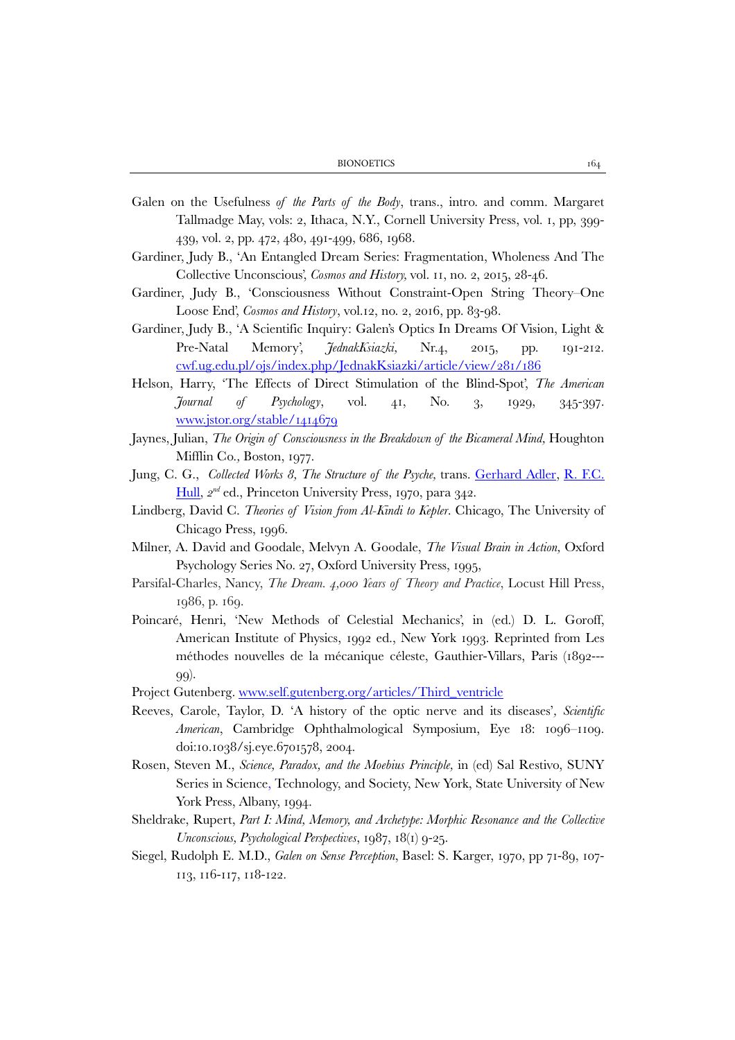| <b>BIONOETICS</b> |  |
|-------------------|--|
|-------------------|--|

- Galen on the Usefulness *of the Parts of the Body*, trans., intro. and comm. Margaret Tallmadge May, vols: 2, Ithaca, N.Y., Cornell University Press, vol. 1, pp, 399- 439, vol. 2, pp. 472, 480, 491-499, 686, 1968.
- Gardiner, Judy B., 'An Entangled Dream Series: Fragmentation, Wholeness And The Collective Unconscious', *Cosmos and History,* vol. 11, no. 2, 2015, 28-46.
- Gardiner, Judy B., 'Consciousness Without Constraint-Open String Theory–One Loose End', *Cosmos and History*, vol.12, no. 2, 2016, pp. 83-98.
- Gardiner, Judy B., 'A Scientific Inquiry: Galen's Optics In Dreams Of Vision, Light & Pre-Natal Memory', *JednakKsiazki,* Nr.4, 2015, pp. 191-212. [cwf.ug.edu.pl/ojs/index.php/JednakKsiazki/article/view/281/186](http://cwf.ug.edu.pl/ojs/index.php/JednakKsiazki/article/view/281/186)
- Helson, Harry, 'The Effects of Direct Stimulation of the Blind-Spot', *The American Journal of Psychology*, vol. 41, No. 3, 1929, 345-397. [www.jstor.org/stable/1414679](http://www.jstor.org/stable/1414679)
- Jaynes, Julian, *The Origin of Consciousness in the Breakdown of the Bicameral Mind*, Houghton Mifflin Co.*,* Boston, 1977.
- Jung, C. G., *Collected Works 8, The Structure of the Psyche,* trans. [Gerhard Adler,](http://www.amazon.com/s/ref=ntt_athr_dp_sr_2?ie=UTF8&field-author=Gerhard+Adler&search-alias=books&text=Gerhard+Adler&sort=relevancerank) [R. F.C.](http://www.amazon.com/s/ref=ntt_athr_dp_sr_3?ie=UTF8&field-author=R.+F.C.+Hull&search-alias=books&text=R.+F.C.+Hull&sort=relevancerank)  [Hull,](http://www.amazon.com/s/ref=ntt_athr_dp_sr_3?ie=UTF8&field-author=R.+F.C.+Hull&search-alias=books&text=R.+F.C.+Hull&sort=relevancerank) *2nd* ed., Princeton University Press, 1970, para 342.
- Lindberg, David C. *Theories of Vision from Al-Kindi to Kepler*. Chicago, The University of Chicago Press, 1996.
- Milner, A. David and Goodale, Melvyn A. Goodale, *The Visual Brain in Action,* Oxford Psychology Series No. 27, Oxford University Press, 1995,
- Parsifal-Charles, Nancy, *The Dream. 4,000 Years of Theory and Practice*, Locust Hill Press, 1986, p. 169.
- Poincaré, Henri, 'New Methods of Celestial Mechanics', in (ed.) D. L. Goroff, American Institute of Physics, 1992 ed., New York 1993. Reprinted from Les méthodes nouvelles de la mécanique céleste, Gauthier-Villars, Paris (1892--- 99).
- Project Gutenberg. www.self.gutenberg.org/articles/Third\_ventricle
- Reeves, Carole, Taylor, D. 'A history of the optic nerve and its diseases'*, Scientific American*, Cambridge Ophthalmological Symposium, Eye 18: 1096–1109. doi:10.1038/sj.eye.6701578, 2004.
- Rosen, Steven M., *Science, Paradox, and the Moebius Principle,* in (ed) Sal Restivo, SUNY Series in Science, Technology, and Society, New York, State University of New York Press, Albany, 1994.
- Sheldrake, Rupert, *Part I: Mind, Memory, and Archetype: Morphic Resonance and the Collective Unconscious, Psychological Perspectives*, 1987, 18(1) 9-25.
- Siegel, Rudolph E. M.D., *Galen on Sense Perception*, Basel: S. Karger, 1970, pp 71-89, 107- 113, 116-117, 118-122.